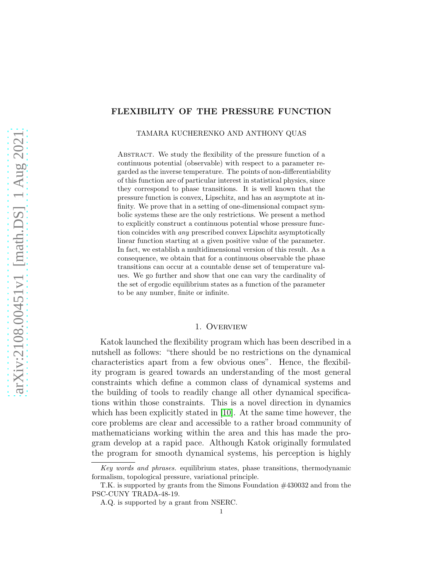# FLEXIBILITY OF THE PRESSURE FUNCTION

TAMARA KUCHERENKO AND ANTHONY QUAS

ABSTRACT. We study the flexibility of the pressure function of a continuous potential (observable) with respect to a parameter regarded as the inverse temperature. The points of non-differentiability of this function are of particular interest in statistical physics, since they correspond to phase transitions. It is well known that the pressure function is convex, Lipschitz, and has an asymptote at infinity. We prove that in a setting of one-dimensional compact symbolic systems these are the only restrictions. We present a method to explicitly construct a continuous potential whose pressure function coincides with any prescribed convex Lipschitz asymptotically linear function starting at a given positive value of the parameter. In fact, we establish a multidimensional version of this result. As a consequence, we obtain that for a continuous observable the phase transitions can occur at a countable dense set of temperature values. We go further and show that one can vary the cardinality of the set of ergodic equilibrium states as a function of the parameter to be any number, finite or infinite.

## 1. Overview

Katok launched the flexibility program which has been described in a nutshell as follows: "there should be no restrictions on the dynamical characteristics apart from a few obvious ones". Hence, the flexibility program is geared towards an understanding of the most general constraints which define a common class of dynamical systems and the building of tools to readily change all other dynamical specifications within those constraints. This is a novel direction in dynamics which has been explicitly stated in [\[10\]](#page-33-0). At the same time however, the core problems are clear and accessible to a rather broad community of mathematicians working within the area and this has made the program develop at a rapid pace. Although Katok originally formulated the program for smooth dynamical systems, his perception is highly

Key words and phrases. equilibrium states, phase transitions, thermodynamic formalism, topological pressure, variational principle.

T.K. is supported by grants from the Simons Foundation #430032 and from the PSC-CUNY TRADA-48-19.

A.Q. is supported by a grant from NSERC.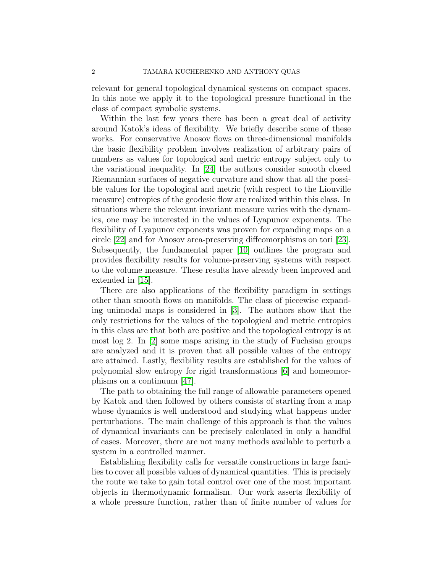relevant for general topological dynamical systems on compact spaces. In this note we apply it to the topological pressure functional in the class of compact symbolic systems.

Within the last few years there has been a great deal of activity around Katok's ideas of flexibility. We briefly describe some of these works. For conservative Anosov flows on three-dimensional manifolds the basic flexibility problem involves realization of arbitrary pairs of numbers as values for topological and metric entropy subject only to the variational inequality. In [\[24\]](#page-33-1) the authors consider smooth closed Riemannian surfaces of negative curvature and show that all the possible values for the topological and metric (with respect to the Liouville measure) entropies of the geodesic flow are realized within this class. In situations where the relevant invariant measure varies with the dynamics, one may be interested in the values of Lyapunov exponents. The flexibility of Lyapunov exponents was proven for expanding maps on a circle [\[22\]](#page-33-2) and for Anosov area-preserving diffeomorphisms on tori [\[23\]](#page-33-3). Subsequently, the fundamental paper [\[10\]](#page-33-0) outlines the program and provides flexibility results for volume-preserving systems with respect to the volume measure. These results have already been improved and extended in [\[15\]](#page-33-4).

There are also applications of the flexibility paradigm in settings other than smooth flows on manifolds. The class of piecewise expanding unimodal maps is considered in [\[3\]](#page-32-0). The authors show that the only restrictions for the values of the topological and metric entropies in this class are that both are positive and the topological entropy is at most log 2. In [\[2\]](#page-32-1) some maps arising in the study of Fuchsian groups are analyzed and it is proven that all possible values of the entropy are attained. Lastly, flexibility results are established for the values of polynomial slow entropy for rigid transformations [\[6\]](#page-32-2) and homeomorphisms on a continuum [\[47\]](#page-34-0).

The path to obtaining the full range of allowable parameters opened by Katok and then followed by others consists of starting from a map whose dynamics is well understood and studying what happens under perturbations. The main challenge of this approach is that the values of dynamical invariants can be precisely calculated in only a handful of cases. Moreover, there are not many methods available to perturb a system in a controlled manner.

Establishing flexibility calls for versatile constructions in large families to cover all possible values of dynamical quantities. This is precisely the route we take to gain total control over one of the most important objects in thermodynamic formalism. Our work asserts flexibility of a whole pressure function, rather than of finite number of values for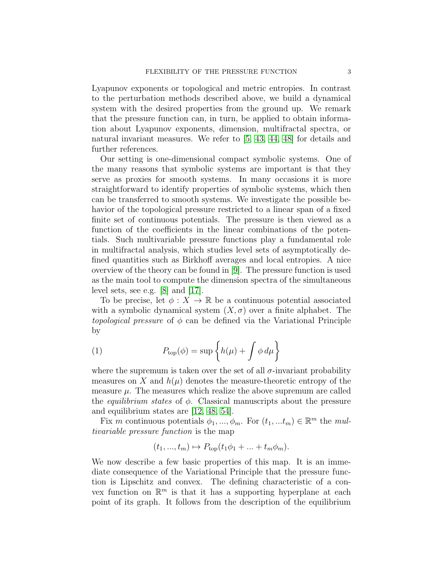Lyapunov exponents or topological and metric entropies. In contrast to the perturbation methods described above, we build a dynamical system with the desired properties from the ground up. We remark that the pressure function can, in turn, be applied to obtain information about Lyapunov exponents, dimension, multifractal spectra, or natural invariant measures. We refer to [\[5,](#page-32-3) [43,](#page-34-1) [44,](#page-34-2) [48\]](#page-34-3) for details and further references.

Our setting is one-dimensional compact symbolic systems. One of the many reasons that symbolic systems are important is that they serve as proxies for smooth systems. In many occasions it is more straightforward to identify properties of symbolic systems, which then can be transferred to smooth systems. We investigate the possible behavior of the topological pressure restricted to a linear span of a fixed finite set of continuous potentials. The pressure is then viewed as a function of the coefficients in the linear combinations of the potentials. Such multivariable pressure functions play a fundamental role in multifractal analysis, which studies level sets of asymptotically defined quantities such as Birkhoff averages and local entropies. A nice overview of the theory can be found in [\[9\]](#page-32-4). The pressure function is used as the main tool to compute the dimension spectra of the simultaneous level sets, see e.g. [\[8\]](#page-32-5) and [\[17\]](#page-33-5).

To be precise, let  $\phi: X \to \mathbb{R}$  be a continuous potential associated with a symbolic dynamical system  $(X, \sigma)$  over a finite alphabet. The topological pressure of  $\phi$  can be defined via the Variational Principle by

(1) 
$$
P_{\text{top}}(\phi) = \sup \left\{ h(\mu) + \int \phi \, d\mu \right\}
$$

where the supremum is taken over the set of all  $\sigma$ -invariant probability measures on X and  $h(\mu)$  denotes the measure-theoretic entropy of the measure  $\mu$ . The measures which realize the above supremum are called the *equilibrium states* of  $\phi$ . Classical manuscripts about the pressure and equilibrium states are [\[12,](#page-33-6) [48,](#page-34-3) [54\]](#page-35-0).

Fix m continuous potentials  $\phi_1, ..., \phi_m$ . For  $(t_1, ... t_m) \in \mathbb{R}^m$  the multivariable pressure function is the map

$$
(t_1, ..., t_m) \mapsto P_{\text{top}}(t_1\phi_1 + ... + t_m\phi_m).
$$

We now describe a few basic properties of this map. It is an immediate consequence of the Variational Principle that the pressure function is Lipschitz and convex. The defining characteristic of a convex function on  $\mathbb{R}^m$  is that it has a supporting hyperplane at each point of its graph. It follows from the description of the equilibrium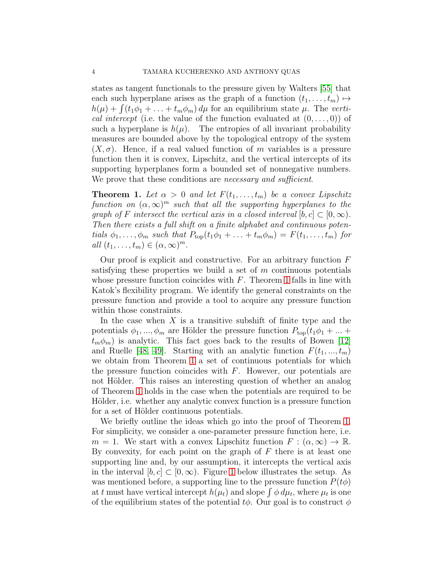states as tangent functionals to the pressure given by Walters [\[55\]](#page-35-1) that each such hyperplane arises as the graph of a function  $(t_1, \ldots, t_m) \mapsto$  $h(\mu) + \int (t_1\phi_1 + \ldots + t_m\phi_m) d\mu$  for an equilibrium state  $\mu$ . The vertical intercept (i.e. the value of the function evaluated at  $(0, \ldots, 0)$ ) of such a hyperplane is  $h(\mu)$ . The entropies of all invariant probability measures are bounded above by the topological entropy of the system  $(X, \sigma)$ . Hence, if a real valued function of m variables is a pressure function then it is convex, Lipschitz, and the vertical intercepts of its supporting hyperplanes form a bounded set of nonnegative numbers. We prove that these conditions are *necessary* and sufficient.

<span id="page-3-0"></span>**Theorem 1.** Let  $\alpha > 0$  and let  $F(t_1, \ldots, t_m)$  be a convex Lipschitz function on  $(\alpha, \infty)^m$  such that all the supporting hyperplanes to the graph of F intersect the vertical axis in a closed interval  $[b, c] \subset [0, \infty)$ . Then there exists a full shift on a finite alphabet and continuous potentials  $\phi_1, \ldots, \phi_m$  such that  $P_{top}(t_1\phi_1 + \ldots + t_m\phi_m) = F(t_1, \ldots, t_m)$  for all  $(t_1, \ldots, t_m) \in (\alpha, \infty)^m$ .

Our proof is explicit and constructive. For an arbitrary function  $F$ satisfying these properties we build a set of  $m$  continuous potentials whose pressure function coincides with  $F$ . Theorem [1](#page-3-0) falls in line with Katok's flexibility program. We identify the general constraints on the pressure function and provide a tool to acquire any pressure function within those constraints.

In the case when  $X$  is a transitive subshift of finite type and the potentials  $\phi_1, ..., \phi_m$  are Hölder the pressure function  $P_{\text{top}}(t_1\phi_1 + ... +$  $t_m \phi_m$ ) is analytic. This fact goes back to the results of Bowen [\[12\]](#page-33-6) and Ruelle [\[48,](#page-34-3) [49\]](#page-34-4). Starting with an analytic function  $F(t_1, ..., t_m)$ we obtain from Theorem [1](#page-3-0) a set of continuous potentials for which the pressure function coincides with  $F$ . However, our potentials are not Hölder. This raises an interesting question of whether an analog of Theorem [1](#page-3-0) holds in the case when the potentials are required to be Hölder, i.e. whether any analytic convex function is a pressure function for a set of Hölder continuous potentials.

We briefly outline the ideas which go into the proof of Theorem [1.](#page-3-0) For simplicity, we consider a one-parameter pressure function here, i.e.  $m = 1$ . We start with a convex Lipschitz function  $F : (\alpha, \infty) \to \mathbb{R}$ . By convexity, for each point on the graph of  $F$  there is at least one supporting line and, by our assumption, it intercepts the vertical axis in the interval  $[b, c] \subset [0, \infty)$ . Figure [1](#page-4-0) below illustrates the setup. As was mentioned before, a supporting line to the pressure function  $P(t\phi)$ at t must have vertical intercept  $h(\mu_t)$  and slope  $\int \phi \, d\mu_t$ , where  $\mu_t$  is one of the equilibrium states of the potential  $t\phi$ . Our goal is to construct  $\phi$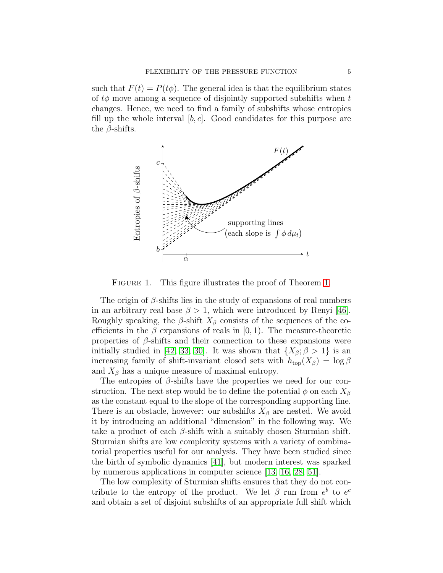such that  $F(t) = P(t\phi)$ . The general idea is that the equilibrium states of  $t\phi$  move among a sequence of disjointly supported subshifts when t changes. Hence, we need to find a family of subshifts whose entropies fill up the whole interval  $[b, c]$ . Good candidates for this purpose are the  $\beta$ -shifts.



<span id="page-4-0"></span>FIGURE [1.](#page-3-0) This figure illustrates the proof of Theorem 1.

The origin of  $\beta$ -shifts lies in the study of expansions of real numbers in an arbitrary real base  $\beta > 1$ , which were introduced by Renyi [\[46\]](#page-34-5). Roughly speaking, the  $\beta$ -shift  $X_{\beta}$  consists of the sequences of the coefficients in the  $\beta$  expansions of reals in [0, 1]. The measure-theoretic properties of  $\beta$ -shifts and their connection to these expansions were initially studied in [\[42,](#page-34-6) [33,](#page-34-7) [30\]](#page-33-7). It was shown that  $\{X_\beta; \beta > 1\}$  is an increasing family of shift-invariant closed sets with  $h_{\text{top}}(X_{\beta}) = \log \beta$ and  $X_{\beta}$  has a unique measure of maximal entropy.

The entropies of  $\beta$ -shifts have the properties we need for our construction. The next step would be to define the potential  $\phi$  on each  $X_{\beta}$ as the constant equal to the slope of the corresponding supporting line. There is an obstacle, however: our subshifts  $X_{\beta}$  are nested. We avoid it by introducing an additional "dimension" in the following way. We take a product of each  $\beta$ -shift with a suitably chosen Sturmian shift. Sturmian shifts are low complexity systems with a variety of combinatorial properties useful for our analysis. They have been studied since the birth of symbolic dynamics [\[41\]](#page-34-8), but modern interest was sparked by numerous applications in computer science [\[13,](#page-33-8) [16,](#page-33-9) [28,](#page-33-10) [51\]](#page-34-9).

The low complexity of Sturmian shifts ensures that they do not contribute to the entropy of the product. We let  $\beta$  run from  $e^b$  to  $e^c$ and obtain a set of disjoint subshifts of an appropriate full shift which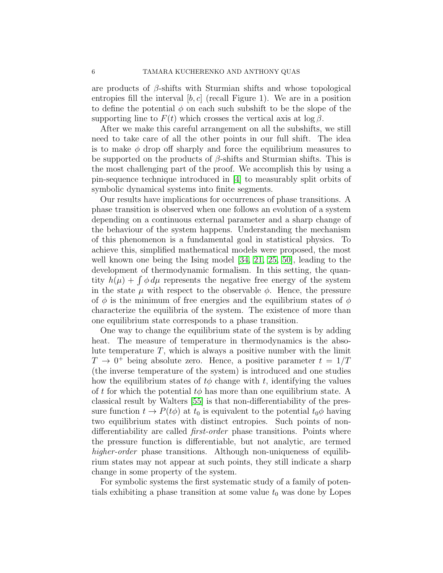are products of  $\beta$ -shifts with Sturmian shifts and whose topological entropies fill the interval  $[b, c]$  (recall Figure 1). We are in a position to define the potential  $\phi$  on each such subshift to be the slope of the supporting line to  $F(t)$  which crosses the vertical axis at log  $\beta$ .

After we make this careful arrangement on all the subshifts, we still need to take care of all the other points in our full shift. The idea is to make  $\phi$  drop off sharply and force the equilibrium measures to be supported on the products of  $\beta$ -shifts and Sturmian shifts. This is the most challenging part of the proof. We accomplish this by using a pin-sequence technique introduced in [\[4\]](#page-32-6) to measurably split orbits of symbolic dynamical systems into finite segments.

Our results have implications for occurrences of phase transitions. A phase transition is observed when one follows an evolution of a system depending on a continuous external parameter and a sharp change of the behaviour of the system happens. Understanding the mechanism of this phenomenon is a fundamental goal in statistical physics. To achieve this, simplified mathematical models were proposed, the most well known one being the Ising model [\[34,](#page-34-10) [21,](#page-33-11) [25,](#page-33-12) [50\]](#page-34-11), leading to the development of thermodynamic formalism. In this setting, the quantity  $h(\mu) + \int \phi \, d\mu$  represents the negative free energy of the system in the state  $\mu$  with respect to the observable  $\phi$ . Hence, the pressure of  $\phi$  is the minimum of free energies and the equilibrium states of  $\phi$ characterize the equilibria of the system. The existence of more than one equilibrium state corresponds to a phase transition.

One way to change the equilibrium state of the system is by adding heat. The measure of temperature in thermodynamics is the absolute temperature  $T$ , which is always a positive number with the limit  $T \rightarrow 0^+$  being absolute zero. Hence, a positive parameter  $t = 1/T$ (the inverse temperature of the system) is introduced and one studies how the equilibrium states of  $t\phi$  change with t, identifying the values of t for which the potential  $t\phi$  has more than one equilibrium state. A classical result by Walters [\[55\]](#page-35-1) is that non-differentiability of the pressure function  $t \to P(t\phi)$  at  $t_0$  is equivalent to the potential  $t_0\phi$  having two equilibrium states with distinct entropies. Such points of nondifferentiability are called *first-order* phase transitions. Points where the pressure function is differentiable, but not analytic, are termed higher-order phase transitions. Although non-uniqueness of equilibrium states may not appear at such points, they still indicate a sharp change in some property of the system.

For symbolic systems the first systematic study of a family of potentials exhibiting a phase transition at some value  $t_0$  was done by Lopes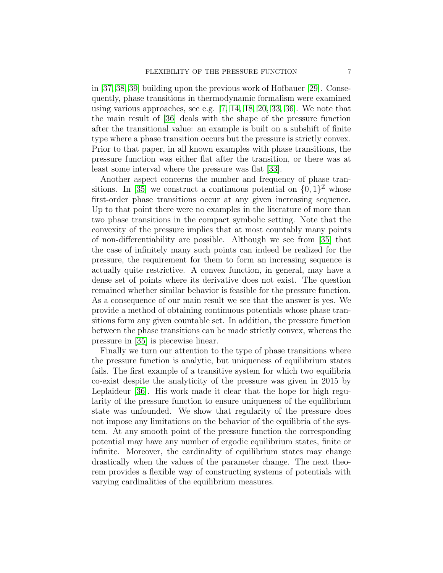in [\[37,](#page-34-12) [38,](#page-34-13) [39\]](#page-34-14) building upon the previous work of Hofbauer [\[29\]](#page-33-13). Consequently, phase transitions in thermodynamic formalism were examined using various approaches, see e.g.  $[7, 14, 18, 20, 33, 36]$  $[7, 14, 18, 20, 33, 36]$  $[7, 14, 18, 20, 33, 36]$  $[7, 14, 18, 20, 33, 36]$  $[7, 14, 18, 20, 33, 36]$  $[7, 14, 18, 20, 33, 36]$ . We note that the main result of [\[36\]](#page-34-15) deals with the shape of the pressure function after the transitional value: an example is built on a subshift of finite type where a phase transition occurs but the pressure is strictly convex. Prior to that paper, in all known examples with phase transitions, the pressure function was either flat after the transition, or there was at least some interval where the pressure was flat [\[33\]](#page-34-7).

Another aspect concerns the number and frequency of phase tran-sitions. In [\[35\]](#page-34-16) we construct a continuous potential on  $\{0, 1\}^{\mathbb{Z}}$  whose first-order phase transitions occur at any given increasing sequence. Up to that point there were no examples in the literature of more than two phase transitions in the compact symbolic setting. Note that the convexity of the pressure implies that at most countably many points of non-differentiability are possible. Although we see from [\[35\]](#page-34-16) that the case of infinitely many such points can indeed be realized for the pressure, the requirement for them to form an increasing sequence is actually quite restrictive. A convex function, in general, may have a dense set of points where its derivative does not exist. The question remained whether similar behavior is feasible for the pressure function. As a consequence of our main result we see that the answer is yes. We provide a method of obtaining continuous potentials whose phase transitions form any given countable set. In addition, the pressure function between the phase transitions can be made strictly convex, whereas the pressure in [\[35\]](#page-34-16) is piecewise linear.

Finally we turn our attention to the type of phase transitions where the pressure function is analytic, but uniqueness of equilibrium states fails. The first example of a transitive system for which two equilibria co-exist despite the analyticity of the pressure was given in 2015 by Leplaideur [\[36\]](#page-34-15). His work made it clear that the hope for high regularity of the pressure function to ensure uniqueness of the equilibrium state was unfounded. We show that regularity of the pressure does not impose any limitations on the behavior of the equilibria of the system. At any smooth point of the pressure function the corresponding potential may have any number of ergodic equilibrium states, finite or infinite. Moreover, the cardinality of equilibrium states may change drastically when the values of the parameter change. The next theorem provides a flexible way of constructing systems of potentials with varying cardinalities of the equilibrium measures.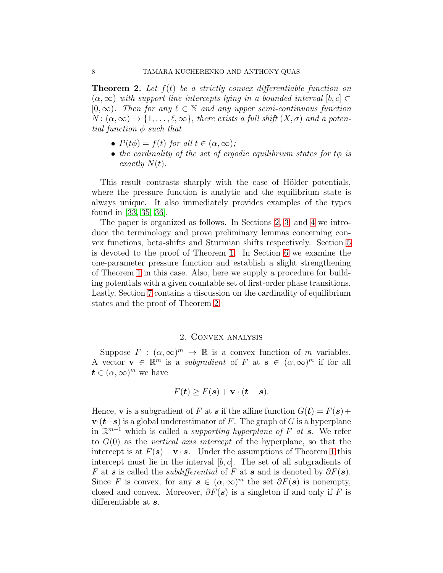<span id="page-7-1"></span>**Theorem 2.** Let  $f(t)$  be a strictly convex differentiable function on  $(\alpha, \infty)$  with support line intercepts lying in a bounded interval  $[b, c] \subset$  $[0, \infty)$ . Then for any  $\ell \in \mathbb{N}$  and any upper semi-continuous function  $N: (\alpha, \infty) \to \{1, \ldots, \ell, \infty\}$ , there exists a full shift  $(X, \sigma)$  and a potential function  $\phi$  such that

- $P(t\phi) = f(t)$  for all  $t \in (\alpha, \infty)$ ;
- the cardinality of the set of ergodic equilibrium states for  $t\phi$  is exactly  $N(t)$ .

This result contrasts sharply with the case of Hölder potentials, where the pressure function is analytic and the equilibrium state is always unique. It also immediately provides examples of the types found in [\[33,](#page-34-7) [35,](#page-34-16) [36\]](#page-34-15).

The paper is organized as follows. In Sections [2,](#page-7-0) [3,](#page-8-0) and [4](#page-10-0) we introduce the terminology and prove preliminary lemmas concerning convex functions, beta-shifts and Sturmian shifts respectively. Section [5](#page-15-0) is devoted to the proof of Theorem [1.](#page-3-0) In Section [6](#page-27-0) we examine the one-parameter pressure function and establish a slight strengthening of Theorem [1](#page-3-0) in this case. Also, here we supply a procedure for building potentials with a given countable set of first-order phase transitions. Lastly, Section [7](#page-29-0) contains a discussion on the cardinality of equilibrium states and the proof of Theorem [2.](#page-7-1)

### 2. Convex analysis

<span id="page-7-0"></span>Suppose  $F : (\alpha, \infty)^m \to \mathbb{R}$  is a convex function of m variables. A vector  $\mathbf{v} \in \mathbb{R}^m$  is a *subgradient* of F at  $\mathbf{s} \in (\alpha, \infty)^m$  if for all  $t \in (\alpha, \infty)^m$  we have

$$
F(\mathbf{t}) \geq F(\mathbf{s}) + \mathbf{v} \cdot (\mathbf{t} - \mathbf{s}).
$$

Hence, **v** is a subgradient of F at **s** if the affine function  $G(t) = F(s) +$  $\mathbf{v} \cdot (\mathbf{t} - \mathbf{s})$  is a global underestimator of F. The graph of G is a hyperplane in  $\mathbb{R}^{m+1}$  which is called a *supporting hyperplane of F at* s. We refer to  $G(0)$  as the vertical axis intercept of the hyperplane, so that the intercept is at  $F(s) - \mathbf{v} \cdot \mathbf{s}$ . Under the assumptions of Theorem [1](#page-3-0) this intercept must lie in the interval  $[b, c]$ . The set of all subgradients of F at s is called the *subdifferential* of F at s and is denoted by  $\partial F(\mathbf{s})$ . Since F is convex, for any  $s \in (\alpha, \infty)^m$  the set  $\partial F(s)$  is nonempty, closed and convex. Moreover,  $\partial F(s)$  is a singleton if and only if F is differentiable at s.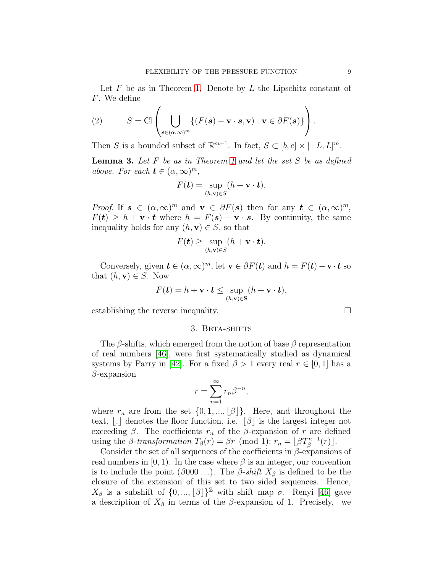Let  $F$  be as in Theorem [1.](#page-3-0) Denote by  $L$  the Lipschitz constant of F. We define

(2) 
$$
S = \text{Cl}\left(\bigcup_{\mathbf{s}\in(\alpha,\infty)^m} \{(F(\mathbf{s}) - \mathbf{v}\cdot\mathbf{s}, \mathbf{v}) : \mathbf{v}\in\partial F(\mathbf{s})\}\right).
$$

Then S is a bounded subset of  $\mathbb{R}^{m+1}$ . In fact,  $S \subset [b, c] \times [-L, L]^{m}$ .

<span id="page-8-1"></span>**Lemma 3.** Let  $F$  be as in Theorem [1](#page-3-0) and let the set  $S$  be as defined above. For each  $t \in (\alpha, \infty)^m$ ,

$$
F(\mathbf{t}) = \sup_{(h,\mathbf{v}) \in S} (h + \mathbf{v} \cdot \mathbf{t}).
$$

*Proof.* If  $s \in (\alpha, \infty)^m$  and  $v \in \partial F(s)$  then for any  $t \in (\alpha, \infty)^m$ ,  $F(t) \geq h + v \cdot t$  where  $h = F(s) - v \cdot s$ . By continuity, the same inequality holds for any  $(h, \mathbf{v}) \in S$ , so that

$$
F(\mathbf{t}) \ge \sup_{(h,\mathbf{v}) \in S} (h + \mathbf{v} \cdot \mathbf{t}).
$$

Conversely, given  $t \in (\alpha, \infty)^m$ , let  $\mathbf{v} \in \partial F(t)$  and  $h = F(t) - \mathbf{v} \cdot t$  so that  $(h, \mathbf{v}) \in S$ . Now

$$
F(\mathbf{t}) = h + \mathbf{v} \cdot \mathbf{t} \le \sup_{(h,\mathbf{v}) \in \mathbf{S}} (h + \mathbf{v} \cdot \mathbf{t}),
$$

<span id="page-8-0"></span>establishing the reverse inequality.

## 3. Beta-shifts

The  $\beta$ -shifts, which emerged from the notion of base  $\beta$  representation of real numbers [\[46\]](#page-34-5), were first systematically studied as dynamical systems by Parry in [\[42\]](#page-34-6). For a fixed  $\beta > 1$  every real  $r \in [0,1]$  has a  $\beta$ -expansion

$$
r = \sum_{n=1}^{\infty} r_n \beta^{-n},
$$

where  $r_n$  are from the set  $\{0, 1, ..., \lfloor \beta \rfloor\}$ . Here, and throughout the text,  $\vert \cdot \vert$  denotes the floor function, i.e.  $\vert \beta \vert$  is the largest integer not exceeding  $\beta$ . The coefficients  $r_n$  of the  $\beta$ -expansion of r are defined using the *β*-transformation  $T_\beta(r) = \beta r \pmod{1}$ ;  $r_n = \lfloor \beta T_\beta^{n-1}(r) \rfloor$ .

Consider the set of all sequences of the coefficients in  $\beta$ -expansions of real numbers in  $[0, 1)$ . In the case where  $\beta$  is an integer, our convention is to include the point ( $\beta$ 000...). The  $\beta$ -shift  $X_{\beta}$  is defined to be the closure of the extension of this set to two sided sequences. Hence,  $X<sub>β</sub>$  is a subshift of  $\{0, ..., \lfloor \beta \rfloor\}^{\mathbb{Z}}$  with shift map  $\sigma$ . Renyi [\[46\]](#page-34-5) gave a description of  $X_\beta$  in terms of the  $\beta$ -expansion of 1. Precisely, we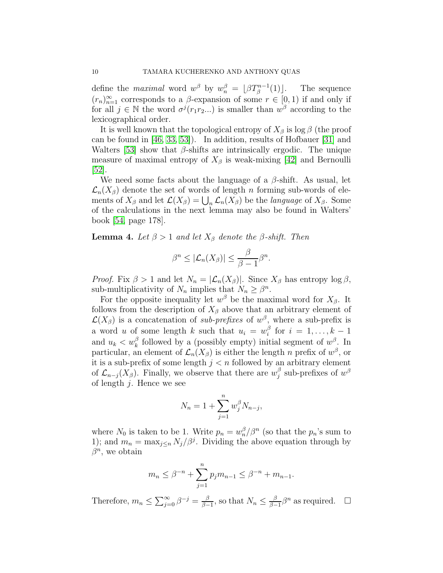define the *maximal* word  $w^{\beta}$  by  $w_n^{\beta} = \lfloor \beta T_{\beta}^{n-1} \rfloor$ The sequence  $(r_n)_{n=1}^{\infty}$  corresponds to a  $\beta$ -expansion of some  $r \in [0,1)$  if and only if for all  $j \in \mathbb{N}$  the word  $\sigma^{j}(r_1r_2...)$  is smaller than  $w^{\beta}$  according to the lexicographical order.

It is well known that the topological entropy of  $X_\beta$  is log  $\beta$  (the proof can be found in [\[46,](#page-34-5) [33,](#page-34-7) [53\]](#page-34-17)). In addition, results of Hofbauer [\[31\]](#page-33-17) and Walters [\[53\]](#page-34-17) show that  $\beta$ -shifts are intrinsically ergodic. The unique measure of maximal entropy of  $X_\beta$  is weak-mixing [\[42\]](#page-34-6) and Bernoulli [\[52\]](#page-34-18).

We need some facts about the language of a  $\beta$ -shift. As usual, let  $\mathcal{L}_n(X_\beta)$  denote the set of words of length n forming sub-words of elements of  $X_\beta$  and let  $\mathcal{L}(X_\beta) = \bigcup_n \mathcal{L}_n(X_\beta)$  be the *language* of  $X_\beta$ . Some of the calculations in the next lemma may also be found in Walters' book [\[54,](#page-35-0) page 178].

<span id="page-9-0"></span>**Lemma 4.** Let  $\beta > 1$  and let  $X_{\beta}$  denote the  $\beta$ -shift. Then

$$
\beta^{n} \leq |\mathcal{L}_{n}(X_{\beta})| \leq \frac{\beta}{\beta - 1} \beta^{n}.
$$

*Proof.* Fix  $\beta > 1$  and let  $N_n = |\mathcal{L}_n(X_\beta)|$ . Since  $X_\beta$  has entropy  $\log \beta$ , sub-multiplicativity of  $N_n$  implies that  $N_n \geq \beta^n$ .

For the opposite inequality let  $w^{\beta}$  be the maximal word for  $X_{\beta}$ . It follows from the description of  $X_\beta$  above that an arbitrary element of  $\mathcal{L}(X_{\beta})$  is a concatenation of sub-prefixes of  $w^{\beta}$ , where a sub-prefix is a word u of some length k such that  $u_i = w_i^{\beta}$  $\frac{\beta}{i}$  for  $i = 1, \ldots, k - 1$ and  $u_k < w_k^{\beta}$  followed by a (possibly empty) initial segment of  $w^{\beta}$ . In particular, an element of  $\mathcal{L}_n(X_\beta)$  is either the length n prefix of  $w^\beta$ , or it is a sub-prefix of some length  $j < n$  followed by an arbitrary element of  $\mathcal{L}_{n-j}(X_{\beta})$ . Finally, we observe that there are  $w_j^{\beta}$  $j^{\beta}$  sub-prefixes of  $w^{\beta}$ of length  $i$ . Hence we see

$$
N_n = 1 + \sum_{j=1}^{n} w_j^{\beta} N_{n-j},
$$

where  $N_0$  is taken to be 1. Write  $p_n = w_n^{\beta} / \beta^n$  (so that the  $p_n$ 's sum to 1); and  $m_n = \max_{j \leq n} N_j / \beta^j$ . Dividing the above equation through by  $\beta^n$ , we obtain

$$
m_n \leq \beta^{-n} + \sum_{j=1}^n p_j m_{n-1} \leq \beta^{-n} + m_{n-1}.
$$

Therefore,  $m_n \leq \sum_{j=0}^{\infty} \beta^{-j} = \frac{\beta}{\beta - j}$  $\frac{\beta}{\beta-1}$ , so that  $N_n \leq \frac{\beta}{\beta-1}$  $\frac{\beta}{\beta-1}\beta^n$  as required. □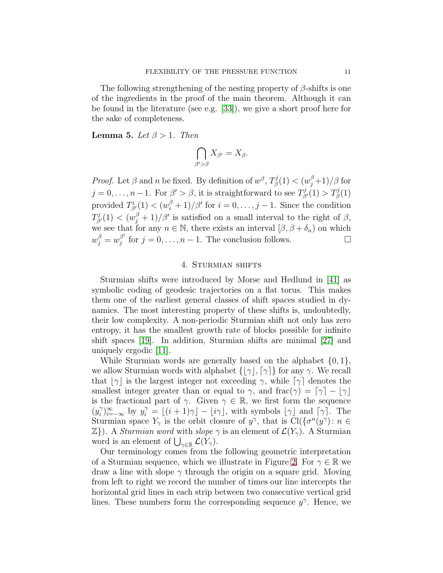The following strengthening of the nesting property of  $\beta$ -shifts is one of the ingredients in the proof of the main theorem. Although it can be found in the literature (see e.g. [\[33\]](#page-34-7)), we give a short proof here for the sake of completeness.

<span id="page-10-1"></span>**Lemma 5.** Let  $\beta > 1$ . Then

$$
\bigcap_{\beta'>\beta} X_{\beta'} = X_{\beta}.
$$

*Proof.* Let  $\beta$  and n be fixed. By definition of  $w^{\beta}$ ,  $T_{\beta}^{j}$  $\mathbb{E}^{j}_{\beta}(1)<(w_{j}^{\beta} \! + \! 1)/\beta$  for  $j = 0, \ldots, n-1$ . For  $\beta' > \beta$ , it is straightforward to see  $T_{\beta'}^j(1) > T_{\beta'}^j(1)$ provided  $T_{\beta'}^{i}(1) < (w_i^{\beta} + 1)/\beta'$  for  $i = 0, \ldots, j - 1$ . Since the condition  $T^j_{\beta'}(1) < (w_j^{\beta} + 1)/\beta'$  is satisfied on a small interval to the right of  $\beta$ , we see that for any  $n \in \mathbb{N}$ , there exists an interval  $[\beta, \beta + \delta_n)$  on which  $w_j^{\beta} = w_j^{\beta'}$  $j^{\beta'}$  for  $j = 0, \ldots, n - 1$ . The conclusion follows.

# 4. Sturmian shifts

<span id="page-10-0"></span>Sturmian shifts were introduced by Morse and Hedlund in [\[41\]](#page-34-8) as symbolic coding of geodesic trajectories on a flat torus. This makes them one of the earliest general classes of shift spaces studied in dynamics. The most interesting property of these shifts is, undoubtedly, their low complexity. A non-periodic Sturmian shift not only has zero entropy, it has the smallest growth rate of blocks possible for infinite shift spaces [\[19\]](#page-33-18). In addition, Sturmian shifts are minimal [\[27\]](#page-33-19) and uniquely ergodic [\[11\]](#page-33-20).

While Sturmian words are generally based on the alphabet  $\{0, 1\},\$ we allow Sturmian words with alphabet  $\{|\gamma|, [\gamma]\}$  for any  $\gamma$ . We recall that  $|\gamma|$  is the largest integer not exceeding  $\gamma$ , while  $[\gamma]$  denotes the smallest integer greater than or equal to  $\gamma$ , and frac $(\gamma) = [\gamma] - [\gamma]$ is the fractional part of  $\gamma$ . Given  $\gamma \in \mathbb{R}$ , we first form the sequence  $(y_i^{\gamma})$  $\lim_{i} \sum_{i=-\infty}^{\gamma}$  by  $y_i^{\gamma} = \lfloor (i+1)\gamma \rfloor - \lfloor i\gamma \rfloor$ , with symbols  $\lfloor \gamma \rfloor$  and  $\lceil \gamma \rceil$ . The Sturmian space  $Y_{\gamma}$  is the orbit closure of  $y^{\gamma}$ , that is  $\text{Cl}(\{\sigma^n(y^{\gamma})\colon n \in$  $\mathbb{Z}$ ). A *Sturmian word* with *slope*  $\gamma$  is an element of  $\mathcal{L}(Y_{\gamma})$ . A Sturmian word is an element of  $\bigcup_{\gamma\in\mathbb{R}}\mathcal{L}(Y_{\gamma}).$ 

Our terminology comes from the following geometric interpretation of a Sturmian sequence, which we illustrate in Figure [2.](#page-11-0) For  $\gamma \in \mathbb{R}$  we draw a line with slope  $\gamma$  through the origin on a square grid. Moving from left to right we record the number of times our line intercepts the horizontal grid lines in each strip between two consecutive vertical grid lines. These numbers form the corresponding sequence  $y^{\gamma}$ . Hence, we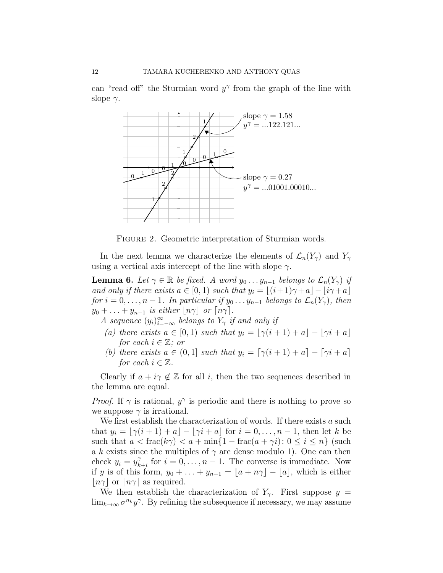can "read off" the Sturmian word  $y^{\gamma}$  from the graph of the line with slope  $\gamma$ .



<span id="page-11-0"></span>FIGURE 2. Geometric interpretation of Sturmian words.

In the next lemma we characterize the elements of  $\mathcal{L}_n(Y_\gamma)$  and  $Y_\gamma$ using a vertical axis intercept of the line with slope  $\gamma$ .

<span id="page-11-1"></span>**Lemma 6.** Let  $\gamma \in \mathbb{R}$  be fixed. A word  $y_0 \dots y_{n-1}$  belongs to  $\mathcal{L}_n(Y_\gamma)$  if and only if there exists  $a \in [0,1)$  such that  $y_i = |(i+1)\gamma + a| - |i\gamma + a|$ for  $i = 0, \ldots, n - 1$ . In particular if  $y_0 \ldots y_{n-1}$  belongs to  $\mathcal{L}_n(Y_\gamma)$ , then  $y_0 + \ldots + y_{n-1}$  is either  $\lfloor n\gamma \rfloor$  or  $\lceil n\gamma \rceil$ .

A sequence  $(y_i)_{i=-\infty}^{\infty}$  belongs to  $Y_{\gamma}$  if and only if

- (a) there exists  $a \in [0,1)$  such that  $y_i = \lfloor \gamma(i+1) + a \rfloor \lfloor \gamma i + a \rfloor$ for each  $i \in \mathbb{Z}$ ; or
- (b) there exists  $a \in (0,1]$  such that  $y_i = \lceil \gamma(i+1) + a \rceil \lceil \gamma i + a \rceil$ for each  $i \in \mathbb{Z}$ .

Clearly if  $a + i\gamma \notin \mathbb{Z}$  for all i, then the two sequences described in the lemma are equal.

*Proof.* If  $\gamma$  is rational,  $y^{\gamma}$  is periodic and there is nothing to prove so we suppose  $\gamma$  is irrational.

We first establish the characterization of words. If there exists  $a$  such that  $y_i = \lfloor \gamma(i+1) + a \rfloor - \lfloor \gamma i + a \rfloor$  for  $i = 0, \ldots, n-1$ , then let k be such that  $a < \text{frac}(k\gamma) < a + \min\{1 - \text{frac}(a + \gamma i): 0 \leq i \leq n\}$  (such a k exists since the multiples of  $\gamma$  are dense modulo 1). One can then check  $y_i = y_k^{\gamma}$  $\chi^{\gamma}_{k+i}$  for  $i = 0, \ldots, n-1$ . The converse is immediate. Now if y is of this form,  $y_0 + \ldots + y_{n-1} = \lfloor a + n\gamma \rfloor - \lfloor a \rfloor$ , which is either  $|n\gamma|$  or  $[n\gamma]$  as required.

We then establish the characterization of  $Y_{\gamma}$ . First suppose  $y =$  $\lim_{k\to\infty} \sigma^{n_k} y^{\gamma}$ . By refining the subsequence if necessary, we may assume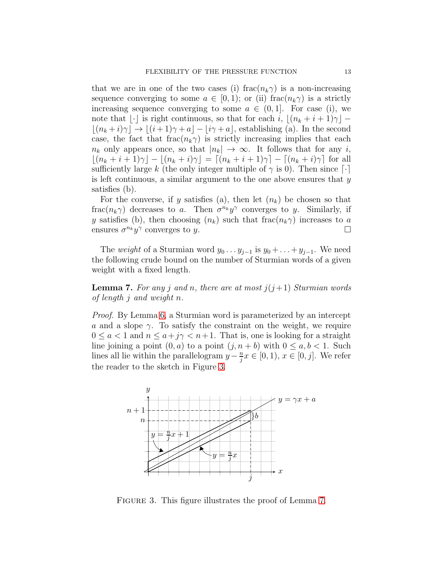that we are in one of the two cases (i) frac $(n_k \gamma)$  is a non-increasing sequence converging to some  $a \in [0,1)$ ; or (ii) frac $(n_k \gamma)$  is a strictly increasing sequence converging to some  $a \in (0,1]$ . For case (i), we note that  $\lvert \cdot \rvert$  is right continuous, so that for each i,  $\lvert (n_k + i + 1)\gamma \rvert$  –  $|(n_k + i)\gamma| \rightarrow |(i+1)\gamma + a| - |i\gamma + a|$ , establishing (a). In the second case, the fact that frac $(n_k\gamma)$  is strictly increasing implies that each  $n_k$  only appears once, so that  $|n_k| \to \infty$ . It follows that for any i,  $|(n_k + i + 1)\gamma| - |(n_k + i)\gamma| = [(n_k + i + 1)\gamma] - [(n_k + i)\gamma]$  for all sufficiently large k (the only integer multiple of  $\gamma$  is 0). Then since [·] is left continuous, a similar argument to the one above ensures that  $y$ satisfies (b).

For the converse, if y satisfies (a), then let  $(n_k)$  be chosen so that frac $(n_k \gamma)$  decreases to a. Then  $\sigma^{n_k} y^{\gamma}$  converges to y. Similarly, if y satisfies (b), then choosing  $(n_k)$  such that frac $(n_k\gamma)$  increases to a ensures  $\sigma^{n_k} y^{\gamma}$  converges to y.

The *weight* of a Sturmian word  $y_0 \dots y_{j-1}$  is  $y_0 + \dots + y_{j-1}$ . We need the following crude bound on the number of Sturmian words of a given weight with a fixed length.

<span id="page-12-1"></span>**Lemma 7.** For any j and n, there are at most  $j(j+1)$  Sturmian words of length j and weight n.

Proof. By Lemma [6,](#page-11-1) a Sturmian word is parameterized by an intercept a and a slope  $\gamma$ . To satisfy the constraint on the weight, we require  $0 \le a < 1$  and  $n \le a+j\gamma < n+1$ . That is, one is looking for a straight line joining a point  $(0, a)$  to a point  $(j, n + b)$  with  $0 \le a, b < 1$ . Such lines all lie within the parallelogram  $y-\frac{n}{i}$  $\frac{n}{j}x \in [0,1), x \in [0,j].$  We refer the reader to the sketch in Figure [3.](#page-12-0)



<span id="page-12-0"></span>FIGURE 3. This figure illustrates the proof of Lemma [7.](#page-12-1)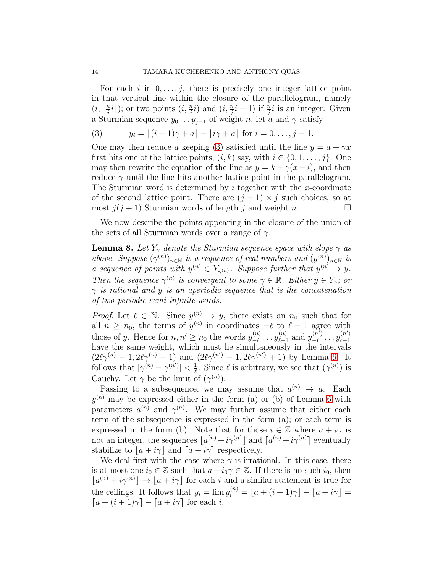For each i in  $0, \ldots, j$ , there is precisely one integer lattice point in that vertical line within the closure of the parallelogram, namely  $(i, \lceil \frac{n}{i} \rceil$  $\frac{n}{j}i$ ); or two points  $(i, \frac{n}{j}i)$  and  $(i, \frac{n}{j}i+1)$  if  $\frac{n}{j}i$  is an integer. Given a Sturmian sequence  $y_0 \dots y_{j-1}$  of weight n, let a and  $\gamma$  satisfy

<span id="page-13-0"></span>(3) 
$$
y_i = \lfloor (i+1)\gamma + a \rfloor - \lfloor i\gamma + a \rfloor
$$
 for  $i = 0, ..., j - 1$ .

One may then reduce a keeping [\(3\)](#page-13-0) satisfied until the line  $y = a + \gamma x$ first hits one of the lattice points,  $(i, k)$  say, with  $i \in \{0, 1, \ldots, j\}$ . One may then rewrite the equation of the line as  $y = k + \gamma(x-i)$ , and then reduce  $\gamma$  until the line hits another lattice point in the parallelogram. The Sturmian word is determined by  $i$  together with the x-coordinate of the second lattice point. There are  $(j + 1) \times j$  such choices, so at most  $j(j + 1)$  Sturmian words of length j and weight n.

We now describe the points appearing in the closure of the union of the sets of all Sturmian words over a range of  $\gamma$ .

<span id="page-13-1"></span>**Lemma 8.** Let  $Y_\gamma$  denote the Sturmian sequence space with slope  $\gamma$  as above. Suppose  $(\gamma^{(n)})_{n\in\mathbb{N}}$  is a sequence of real numbers and  $(y^{(n)})_{n\in\mathbb{N}}$  is a sequence of points with  $y^{(n)} \in Y_{\gamma^{(n)}}$ . Suppose further that  $y^{(n)} \to y$ . Then the sequence  $\gamma^{(n)}$  is convergent to some  $\gamma \in \mathbb{R}$ . Either  $y \in Y_{\gamma}$ ; or  $\gamma$  is rational and y is an aperiodic sequence that is the concatenation of two periodic semi-infinite words.

*Proof.* Let  $\ell \in \mathbb{N}$ . Since  $y^{(n)} \to y$ , there exists an  $n_0$  such that for all  $n \geq n_0$ , the terms of  $y^{(n)}$  in coordinates  $-\ell$  to  $\ell-1$  agree with those of y. Hence for  $n, n' \geq n_0$  the words  $y_{-\ell}^{(n)}$  $\overset{(n)}{-\ell}\cdots \overset{(n)}{y_{\ell-1}^{(n)}}$  $\binom{n}{\ell-1}$  and  $y_{-\ell}^{(n')}$  $\binom{n'}{-\ell} \cdots y_{\ell-1}^{(n')}$  $_{\ell-1}$ have the same weight, which must lie simultaneously in the intervals  $(2\ell\gamma^{(n)} - 1, 2\ell\gamma^{(n)} + 1)$  and  $(2\ell\gamma^{(n')} - 1, 2\ell\gamma^{(n')} + 1)$  by Lemma [6.](#page-11-1) It follows that  $|\gamma^{(n)} - \gamma^{(n')}| < \frac{1}{\ell}$  $\frac{1}{\ell}$ . Since  $\ell$  is arbitrary, we see that  $(\gamma^{(n)})$  is Cauchy. Let  $\gamma$  be the limit of  $(\gamma^{(n)})$ .

Passing to a subsequence, we may assume that  $a^{(n)} \to a$ . Each  $y^{(n)}$  may be expressed either in the form (a) or (b) of Lemma [6](#page-11-1) with parameters  $a^{(n)}$  and  $\gamma^{(n)}$ . We may further assume that either each term of the subsequence is expressed in the form (a); or each term is expressed in the form (b). Note that for those  $i \in \mathbb{Z}$  where  $a + i\gamma$  is not an integer, the sequences  $\lfloor a^{(n)}+i\gamma^{(n)}\rfloor$  and  $\lceil a^{(n)}+i\gamma^{(n)}\rceil$  eventually stabilize to  $|a + i\gamma|$  and  $[a + i\gamma]$  respectively.

We deal first with the case where  $\gamma$  is irrational. In this case, there is at most one  $i_0 \in \mathbb{Z}$  such that  $a + i_0 \gamma \in \mathbb{Z}$ . If there is no such  $i_0$ , then  $[a^{(n)} + i\gamma^{(n)}] \rightarrow [a + i\gamma]$  for each i and a similar statement is true for the ceilings. It follows that  $y_i = \lim y_i^{(n)} = \lfloor a + (i+1)\gamma \rfloor - \lfloor a + i\gamma \rfloor =$  $[a + (i + 1)\gamma] - [a + i\gamma]$  for each i.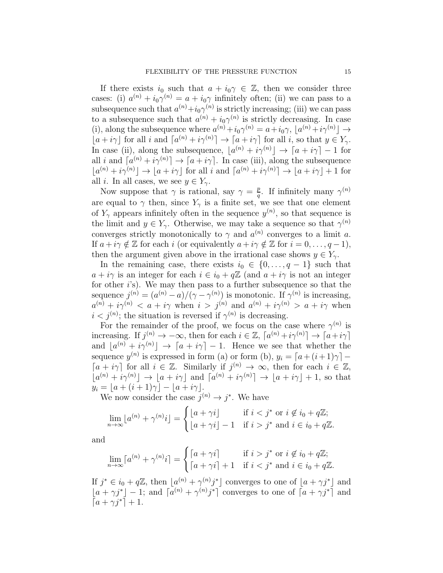If there exists  $i_0$  such that  $a + i_0 \gamma \in \mathbb{Z}$ , then we consider three cases: (i)  $a^{(n)} + i_0 \gamma^{(n)} = a + i_0 \gamma$  infinitely often; (ii) we can pass to a subsequence such that  $a^{(n)}+i_0\gamma^{(n)}$  is strictly increasing; (iii) we can pass to a subsequence such that  $a^{(n)} + i_0 \gamma^{(n)}$  is strictly decreasing. In case (i), along the subsequence where  $a^{(n)} + i_0 \gamma^{(n)} = a + i_0 \gamma$ ,  $[a^{(n)} + i \gamma^{(n)}] \rightarrow$  $\lfloor a + i\gamma \rfloor$  for all i and  $\lceil a^{(n)} + i\gamma^{(n)} \rceil \to \lceil a + i\gamma \rceil$  for all i, so that  $y \in Y_\gamma$ . In case (ii), along the subsequence,  $[a^{(n)} + i\gamma^{(n)}] \rightarrow [a + i\gamma] - 1$  for all i and  $[a^{(n)} + i\gamma^{(n)}] \rightarrow [a + i\gamma]$ . In case (iii), along the subsequence  $[a^{(n)}+i\gamma^{(n)}] \to [a+i\gamma]$  for all i and  $[a^{(n)}+i\gamma^{(n)}] \to [a+i\gamma] + 1$  for all *i*. In all cases, we see  $y \in Y_{\gamma}$ .

Now suppose that  $\gamma$  is rational, say  $\gamma = \frac{p}{q}$  $\frac{p}{q}$ . If infinitely many  $\gamma^{(n)}$ are equal to  $\gamma$  then, since  $Y_{\gamma}$  is a finite set, we see that one element of  $Y_{\gamma}$  appears infinitely often in the sequence  $y^{(n)}$ , so that sequence is the limit and  $y \in Y_{\gamma}$ . Otherwise, we may take a sequence so that  $\gamma^{(n)}$ converges strictly monotonically to  $\gamma$  and  $a^{(n)}$  converges to a limit a. If  $a + i\gamma \notin \mathbb{Z}$  for each i (or equivalently  $a + i\gamma \notin \mathbb{Z}$  for  $i = 0, \ldots, q - 1$ ), then the argument given above in the irrational case shows  $y \in Y_{\gamma}$ .

In the remaining case, there exists  $i_0 \in \{0, \ldots, q-1\}$  such that  $a + i\gamma$  is an integer for each  $i \in i_0 + q\mathbb{Z}$  (and  $a + i\gamma$  is not an integer for other i's). We may then pass to a further subsequence so that the sequence  $j^{(n)} = (a^{(n)} - a)/(\gamma - \gamma^{(n)})$  is monotonic. If  $\gamma^{(n)}$  is increasing,  $a^{(n)} + i\gamma^{(n)} < a + i\gamma$  when  $i > j^{(n)}$  and  $a^{(n)} + i\gamma^{(n)} > a + i\gamma$  when  $i < j<sup>(n)</sup>$ ; the situation is reversed if  $\gamma<sup>(n)</sup>$  is decreasing.

For the remainder of the proof, we focus on the case where  $\gamma^{(n)}$  is increasing. If  $j^{(n)} \to -\infty$ , then for each  $i \in \mathbb{Z}$ ,  $[a^{(n)} + i\gamma^{(n)}] \to [a + i\gamma]$ and  $\lfloor a^{(n)} + i\gamma^{(n)} \rfloor \to \lceil a + i\gamma \rceil - 1$ . Hence we see that whether the sequence  $y^{(n)}$  is expressed in form (a) or form (b),  $y_i = [a + (i+1)\gamma]$  –  $[a + i\gamma]$  for all  $i \in \mathbb{Z}$ . Similarly if  $j^{(n)} \to \infty$ , then for each  $i \in \mathbb{Z}$ ,  $[a^{(n)}+i\gamma^{(n)}] \rightarrow [a+i\gamma]$  and  $[a^{(n)}+i\gamma^{(n)}] \rightarrow [a+i\gamma] + 1$ , so that  $y_i = \lfloor a + (i+1)\gamma \rfloor - \lfloor a + i\gamma \rfloor$ .

We now consider the case  $j^{(n)} \to j^*$ . We have

$$
\lim_{n \to \infty} \lfloor a^{(n)} + \gamma^{(n)} i \rfloor = \begin{cases} \lfloor a + \gamma i \rfloor & \text{if } i < j^* \text{ or } i \notin i_0 + q\mathbb{Z}; \\ \lfloor a + \gamma i \rfloor - 1 & \text{if } i > j^* \text{ and } i \in i_0 + q\mathbb{Z}. \end{cases}
$$

and

$$
\lim_{n \to \infty} \lceil a^{(n)} + \gamma^{(n)} i \rceil = \begin{cases} \lceil a + \gamma i \rceil & \text{if } i > j^* \text{ or } i \notin i_0 + q\mathbb{Z}; \\ \lceil a + \gamma i \rceil + 1 & \text{if } i < j^* \text{ and } i \in i_0 + q\mathbb{Z}. \end{cases}
$$

If  $j^* \in i_0 + q\mathbb{Z}$ , then  $\lfloor a^{(n)} + \gamma^{(n)}j^* \rfloor$  converges to one of  $\lfloor a + \gamma j^* \rfloor$  and  $[a + \gamma j^*] - 1$ ; and  $[a^{(n)} + \gamma^{(n)} j^*]$  converges to one of  $[a + \gamma j^*]$  and  $[a + \gamma j^*] + 1.$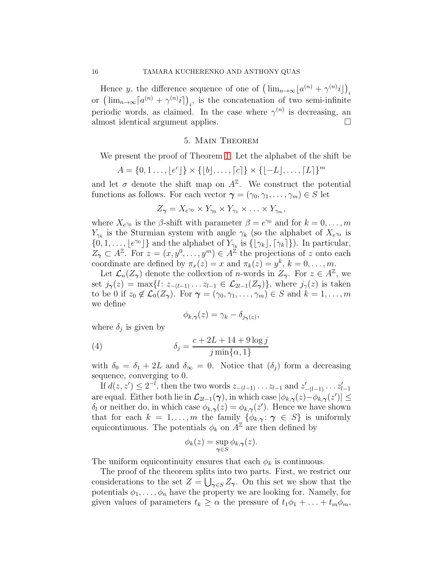Hence y, the difference sequence of one of  $\left(\lim_{n\to\infty} \lfloor a^{(n)} + \gamma^{(n)}i \rfloor\right)_i$ or  $(\lim_{n\to\infty} [a^{(n)} + \gamma^{(n)}i])_i$ , is the concatenation of two semi-infinite periodic words, as claimed. In the case where  $\gamma^{(n)}$  is decreasing, an almost identical argument applies.

# 5. Main Theorem

<span id="page-15-0"></span>We present the proof of Theorem [1.](#page-3-0) Let the alphabet of the shift be

$$
A = \{0, 1, \ldots, \lfloor e^c \rfloor\} \times \{\lfloor b \rfloor, \ldots, \lceil c \rceil\} \times \{\lfloor -L \rfloor, \ldots, \lceil L \rceil\}^m
$$

and let  $\sigma$  denote the shift map on  $A^{\mathbb{Z}}$ . We construct the potential functions as follows. For each vector  $\boldsymbol{\gamma} = (\gamma_0, \gamma_1, \dots, \gamma_m) \in S$  let

$$
Z_{\gamma} = X_{e^{\gamma_0}} \times Y_{\gamma_0} \times Y_{\gamma_1} \times \ldots \times Y_{\gamma_m},
$$

where  $X_{e^{\gamma_0}}$  is the  $\beta$ -shift with parameter  $\beta = e^{\gamma_0}$  and for  $k = 0, \ldots, m$  $Y_{\gamma_k}$  is the Sturmian system with angle  $\gamma_k$  (so the alphabet of  $X_{e^{\gamma_0}}$  is  $\{0, 1, \ldots, \lfloor e^{\gamma_0} \rfloor\}$  and the alphabet of  $Y_{\gamma_k}$  is  $\{\lfloor \gamma_k \rfloor, \lceil \gamma_k \rceil\}\)$ . In particular,  $Z_{\gamma} \subset A^{\mathbb{Z}}$ . For  $z = (x, y^0, \ldots, y^m) \in A^{\mathbb{Z}}$  the projections of z onto each coordinate are defined by  $\pi_x(z) = x$  and  $\pi_k(z) = y^k$ ,  $k = 0, \ldots, m$ .

Let  $\mathcal{L}_n(Z_\gamma)$  denote the collection of *n*-words in  $Z_\gamma$ . For  $z \in A^{\mathbb{Z}}$ , we set  $j_{\gamma}(z) = \max\{l: z_{-(l-1)} \dots z_{l-1} \in \mathcal{L}_{2l-1}(Z_{\gamma})\}\,$ , where  $j_{\gamma}(z)$  is taken to be 0 if  $z_0 \notin \mathcal{L}_0(\mathbb{Z}_\gamma)$ . For  $\gamma = (\gamma_0, \gamma_1, \ldots, \gamma_m) \in S$  and  $k = 1, \ldots, m$ we define

<span id="page-15-1"></span>
$$
\phi_{k,\gamma}(z) = \gamma_k - \delta_{j\gamma}(z),
$$

where  $\delta_j$  is given by

(4) 
$$
\delta_j = \frac{c + 2L + 14 + 9\log j}{j \min\{\alpha, 1\}}
$$

with  $\delta_0 = \delta_1 + 2L$  and  $\delta_{\infty} = 0$ . Notice that  $(\delta_i)$  form a decreasing sequence, converging to 0.

If  $d(z, z') \leq 2^{-l}$ , then the two words  $z_{-(l-1)} \dots z_{l-1}$  and  $z'_{-(l-1)} \dots z'_{l-1}$ are equal. Either both lie in  $\mathcal{L}_{2l-1}(\gamma)$ , in which case  $|\phi_{k,\gamma}(z)-\phi_{k,\gamma}(z')| \leq$  $\delta_l$  or neither do, in which case  $\phi_{k,\gamma}(z) = \phi_{k,\gamma}(z')$ . Hence we have shown that for each  $k = 1, ..., m$  the family  $\{\phi_{k,\gamma} : \gamma \in S\}$  is uniformly equicontinuous. The potentials  $\phi_k$  on  $A^{\mathbb{Z}}$  are then defined by

$$
\phi_k(z) = \sup_{\gamma \in S} \phi_{k,\gamma}(z).
$$

The uniform equicontinuity ensures that each  $\phi_k$  is continuous.

The proof of the theorem splits into two parts. First, we restrict our considerations to the set  $Z = \bigcup_{\gamma \in S} Z_{\gamma}$ . On this set we show that the potentials  $\phi_1, \ldots, \phi_n$  have the property we are looking for. Namely, for given values of parameters  $t_k \geq \alpha$  the pressure of  $t_1\phi_1 + \ldots + t_m\phi_m$ ,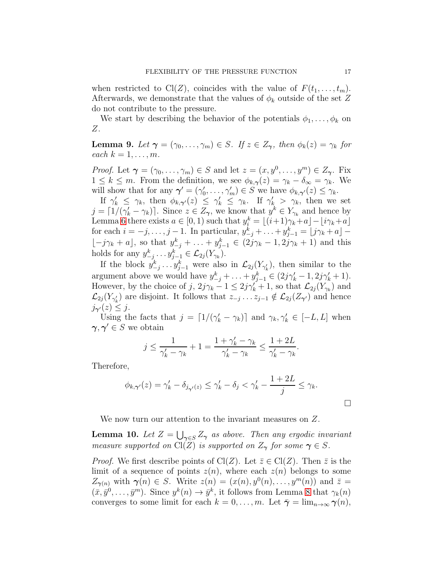when restricted to  $Cl(Z)$ , coincides with the value of  $F(t_1, \ldots, t_m)$ . Afterwards, we demonstrate that the values of  $\phi_k$  outside of the set Z do not contribute to the pressure.

We start by describing the behavior of the potentials  $\phi_1, \ldots, \phi_k$  on Z.

<span id="page-16-1"></span>**Lemma 9.** Let  $\gamma = (\gamma_0, \dots, \gamma_m) \in S$ . If  $z \in Z_{\gamma}$ , then  $\phi_k(z) = \gamma_k$  for each  $k = 1, \ldots, m$ .

*Proof.* Let  $\boldsymbol{\gamma} = (\gamma_0, \dots, \gamma_m) \in S$  and let  $z = (x, y^0, \dots, y^m) \in Z_{\boldsymbol{\gamma}}$ . Fix  $1 \leq k \leq m$ . From the definition, we see  $\phi_{k,\gamma}(z) = \gamma_k - \delta_\infty = \gamma_k$ . We will show that for any  $\boldsymbol{\gamma}' = (\gamma'_0, \dots, \gamma'_m) \in S$  we have  $\phi_{k, \boldsymbol{\gamma}'}(z) \leq \gamma_k$ .

If  $\gamma'_k \leq \gamma_k$ , then  $\phi_{k,\gamma'}(z) \leq \gamma'_k \leq \gamma_k$ . If  $\gamma'_k > \gamma_k$ , then we set  $j = \lfloor 1/(\gamma'_k - \gamma_k) \rfloor$ . Since  $z \in Z_{\gamma}$ , we know that  $y^k \in Y_{\gamma_k}$  and hence by Lemma [6](#page-11-1) there exists  $a \in [0, 1)$  such that  $y_i^k = \lfloor (i+1)\gamma_k + a \rfloor - \lfloor i\gamma_k + a \rfloor$ for each  $i = -j, \ldots, j-1$ . In particular,  $y_{-j}^k + \ldots + y_{j-1}^k = \lfloor j\gamma_k + a \rfloor \lfloor -j\gamma_k + a \rfloor$ , so that  $y_{-j}^k + \ldots + y_{j-1}^k \in (2j\gamma_k - 1, 2j\gamma_k + 1)$  and this holds for any  $y_{-j}^k \dots y_{j-1}^k \in \mathcal{L}_{2j}(Y_{\gamma_k}).$ 

If the block  $y_{-j}^k \dots y_{j-1}^k$  were also in  $\mathcal{L}_{2j}(Y_{\gamma'_k})$ , then similar to the argument above we would have  $y_{-j}^k + \ldots + y_{j-1}^k \in (2j\gamma'_k - 1, 2j\gamma'_k + 1)$ . However, by the choice of j,  $2j\gamma_k - 1 \leq 2j\gamma'_k + 1$ , so that  $\mathcal{L}_{2j}(Y_{\gamma_k})$  and  $\mathcal{L}_{2j}(Y_{\gamma'_{k}})$  are disjoint. It follows that  $z_{-j}\ldots z_{j-1}\notin \mathcal{L}_{2j}(Z_{\gamma'})$  and hence  $j_{\gamma'}(z) \leq j$ .

Using the facts that  $j = \lfloor 1/(\gamma_k' - \gamma_k) \rfloor$  and  $\gamma_k, \gamma_k' \in [-L, L]$  when  $\gamma, \gamma' \in S$  we obtain

$$
j \le \frac{1}{\gamma_k' - \gamma_k} + 1 = \frac{1 + \gamma_k' - \gamma_k}{\gamma_k' - \gamma_k} \le \frac{1 + 2L}{\gamma_k' - \gamma_k}.
$$

Therefore,

$$
\phi_{k,\gamma'}(z) = \gamma'_k - \delta_{j_{\gamma'}(z)} \le \gamma'_k - \delta_j < \gamma'_k - \frac{1+2L}{j} \le \gamma_k.
$$

 $\Box$ 

We now turn our attention to the invariant measures on Z.

<span id="page-16-0"></span>**Lemma 10.** Let  $Z = \bigcup_{\gamma \in S} Z_{\gamma}$  as above. Then any ergodic invariant measure supported on Cl(Z) is supported on  $Z_{\gamma}$  for some  $\gamma \in S$ .

*Proof.* We first describe points of Cl(Z). Let  $\overline{z} \in \text{Cl}(Z)$ . Then  $\overline{z}$  is the limit of a sequence of points  $z(n)$ , where each  $z(n)$  belongs to some  $Z_{\gamma(n)}$  with  $\gamma(n) \in S$ . Write  $z(n) = (x(n), y^{0}(n), \ldots, y^{m}(n))$  and  $\overline{z} =$  $(\bar{x}, \bar{y}^0, \ldots, \bar{y}^m)$ . Since  $y^k(n) \to \bar{y}^k$ , it follows from Lemma [8](#page-13-1) that  $\gamma_k(n)$ converges to some limit for each  $k = 0, \ldots, m$ . Let  $\bar{\gamma} = \lim_{n \to \infty} \gamma(n)$ ,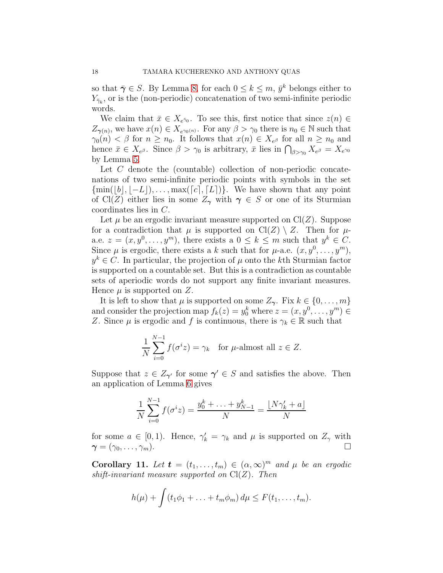so that  $\bar{\gamma} \in S$ . By Lemma [8,](#page-13-1) for each  $0 \leq k \leq m$ ,  $\bar{y}^k$  belongs either to  $Y_{\bar{\gamma}_k}$ , or is the (non-periodic) concatenation of two semi-infinite periodic words.

We claim that  $\bar{x} \in X_{e^{\bar{\gamma}_0}}$ . To see this, first notice that since  $z(n) \in$  $Z_{\gamma(n)}$ , we have  $x(n) \in X_{e^{\gamma_0(n)}}$ . For any  $\beta > \gamma_0$  there is  $n_0 \in \mathbb{N}$  such that  $\gamma_0(n) < \beta$  for  $n \geq n_0$ . It follows that  $x(n) \in X_{e^{\beta}}$  for all  $n \geq n_0$  and hence  $\bar{x} \in X_{e^{\beta}}$ . Since  $\beta > \gamma_0$  is arbitrary,  $\bar{x}$  lies in  $\bigcap_{\beta > \gamma_0} X_{e^{\beta}} = X_{e^{\gamma_0}}$ by Lemma [5.](#page-10-1)

Let C denote the (countable) collection of non-periodic concatenations of two semi-infinite periodic points with symbols in the set  ${\min([b], [-L]), \ldots, \max([c], [L])}.$  We have shown that any point of Cl(Z) either lies in some  $Z_{\gamma}$  with  $\gamma \in S$  or one of its Sturmian coordinates lies in C.

Let  $\mu$  be an ergodic invariant measure supported on  $Cl(Z)$ . Suppose for a contradiction that  $\mu$  is supported on  $Cl(Z) \setminus Z$ . Then for  $\mu$ a.e.  $z = (x, y^0, \dots, y^m)$ , there exists a  $0 \leq k \leq m$  such that  $y^k \in C$ . Since  $\mu$  is ergodic, there exists a k such that for  $\mu$ -a.e.  $(x, y^0, \ldots, y^m)$ ,  $y^k \in C$ . In particular, the projection of  $\mu$  onto the k<sup>th</sup> Sturmian factor is supported on a countable set. But this is a contradiction as countable sets of aperiodic words do not support any finite invariant measures. Hence  $\mu$  is supported on Z.

It is left to show that  $\mu$  is supported on some  $Z_{\gamma}$ . Fix  $k \in \{0, \ldots, m\}$ and consider the projection map  $f_k(z) = y_0^k$  where  $z = (x, y^0, \dots, y^m) \in$ Z. Since  $\mu$  is ergodic and f is continuous, there is  $\gamma_k \in \mathbb{R}$  such that

$$
\frac{1}{N} \sum_{i=0}^{N-1} f(\sigma^i z) = \gamma_k \quad \text{for } \mu\text{-almost all } z \in Z.
$$

Suppose that  $z \in Z_{\gamma'}$  for some  $\gamma' \in S$  and satisfies the above. Then an application of Lemma [6](#page-11-1) gives

$$
\frac{1}{N} \sum_{i=0}^{N-1} f(\sigma^i z) = \frac{y_0^k + \ldots + y_{N-1}^k}{N} = \frac{\lfloor N \gamma_k' + a \rfloor}{N}
$$

for some  $a \in [0, 1)$ . Hence,  $\gamma'_k = \gamma_k$  and  $\mu$  is supported on  $Z_\gamma$  with  $\boldsymbol{\gamma} = (\gamma_0, \ldots, \gamma_m).$ 

Corollary 11. Let  $\mathbf{t} = (t_1, \ldots, t_m) \in (\alpha, \infty)^m$  and  $\mu$  be an ergodic shift-invariant measure supported on  $Cl(Z)$ . Then

$$
h(\mu)+\int (t_1\phi_1+\ldots+t_m\phi_m)\,d\mu\leq F(t_1,\ldots,t_m).
$$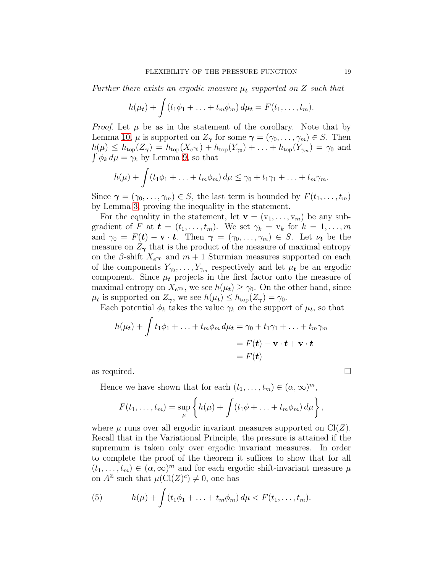Further there exists an ergodic measure  $\mu_t$  supported on Z such that

$$
h(\mu_t) + \int (t_1 \phi_1 + \ldots + t_m \phi_m) d\mu_t = F(t_1, \ldots, t_m).
$$

*Proof.* Let  $\mu$  be as in the statement of the corollary. Note that by Lemma [10,](#page-16-0)  $\mu$  is supported on  $Z_{\gamma}$  for some  $\gamma = (\gamma_0, \ldots, \gamma_m) \in S$ . Then  $h(\mu) \le h_{\text{top}}(Z_{\gamma}) = h_{\text{top}}(X_{e^{\gamma_0}}) + h_{\text{top}}(Y_{\gamma_0}) + \ldots + h_{\text{top}}(Y_{\gamma_m}) = \gamma_0$  and  $\int \phi_k d\mu = \gamma_k$  by Lemma [9,](#page-16-1) so that

$$
h(\mu)+\int (t_1\phi_1+\ldots+t_m\phi_m)\,d\mu\leq \gamma_0+t_1\gamma_1+\ldots+t_m\gamma_m.
$$

Since  $\gamma = (\gamma_0, \ldots, \gamma_m) \in S$ , the last term is bounded by  $F(t_1, \ldots, t_m)$ by Lemma [3,](#page-8-1) proving the inequality in the statement.

For the equality in the statement, let  $\mathbf{v} = (v_1, \ldots, v_m)$  be any subgradient of F at  $t = (t_1, \ldots, t_m)$ . We set  $\gamma_k = v_k$  for  $k = 1, \ldots, m$ and  $\gamma_0 = F(t) - \mathbf{v} \cdot t$ . Then  $\gamma = (\gamma_0, \dots, \gamma_m) \in S$ . Let  $\nu_t$  be the measure on  $Z_{\gamma}$  that is the product of the measure of maximal entropy on the  $\beta$ -shift  $X_{e^{\gamma_0}}$  and  $m+1$  Sturmian measures supported on each of the components  $Y_{\gamma_0}, \ldots, Y_{\gamma_m}$  respectively and let  $\mu_t$  be an ergodic component. Since  $\mu_t$  projects in the first factor onto the measure of maximal entropy on  $X_{e^{\gamma_0}}$ , we see  $h(\mu_t) \geq \gamma_0$ . On the other hand, since  $\mu_t$  is supported on  $Z_{\gamma}$ , we see  $h(\mu_t) \leq h_{\text{top}}(Z_{\gamma}) = \gamma_0$ .

Each potential  $\phi_k$  takes the value  $\gamma_k$  on the support of  $\mu_t$ , so that

$$
h(\mu_{t}) + \int t_{1}\phi_{1} + \ldots + t_{m}\phi_{m} d\mu_{t} = \gamma_{0} + t_{1}\gamma_{1} + \ldots + t_{m}\gamma_{m}
$$
  
=  $F(t) - \mathbf{v} \cdot \mathbf{t} + \mathbf{v} \cdot \mathbf{t}$   
=  $F(t)$ 

as required.

Hence we have shown that for each  $(t_1, \ldots, t_m) \in (\alpha, \infty)^m$ ,

$$
F(t_1,\ldots,t_m)=\sup_{\mu}\left\{h(\mu)+\int (t_1\phi+\ldots+t_m\phi_m)\,d\mu\right\},\,
$$

where  $\mu$  runs over all ergodic invariant measures supported on Cl(Z). Recall that in the Variational Principle, the pressure is attained if the supremum is taken only over ergodic invariant measures. In order to complete the proof of the theorem it suffices to show that for all  $(t_1, \ldots, t_m) \in (\alpha, \infty)^m$  and for each ergodic shift-invariant measure  $\mu$ on  $A^{\mathbb{Z}}$  such that  $\mu(\mathrm{Cl}(Z)^c) \neq 0$ , one has

<span id="page-18-0"></span>(5) 
$$
h(\mu) + \int (t_1 \phi_1 + \ldots + t_m \phi_m) d\mu < F(t_1, \ldots, t_m).
$$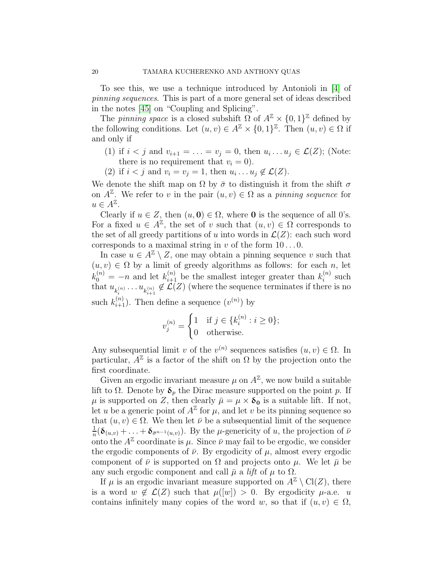To see this, we use a technique introduced by Antonioli in [\[4\]](#page-32-6) of pinning sequences. This is part of a more general set of ideas described in the notes [\[45\]](#page-34-19) on "Coupling and Splicing".

The *pinning space* is a closed subshift  $\Omega$  of  $A^{\mathbb{Z}} \times \{0,1\}^{\mathbb{Z}}$  defined by the following conditions. Let  $(u, v) \in A^{\mathbb{Z}} \times \{0, 1\}^{\mathbb{Z}}$ . Then  $(u, v) \in \Omega$  if and only if

- (1) if  $i < j$  and  $v_{i+1} = \ldots = v_j = 0$ , then  $u_i \ldots u_j \in \mathcal{L}(Z)$ ; (Note: there is no requirement that  $v_i = 0$ ).
- (2) if  $i < j$  and  $v_i = v_j = 1$ , then  $u_i \dots u_j \notin \mathcal{L}(Z)$ .

We denote the shift map on  $\Omega$  by  $\bar{\sigma}$  to distinguish it from the shift  $\sigma$ on  $A^{\mathbb{Z}}$ . We refer to v in the pair  $(u, v) \in \Omega$  as a pinning sequence for  $u \in A^{\mathbb{Z}}.$ 

Clearly if  $u \in Z$ , then  $(u, 0) \in \Omega$ , where 0 is the sequence of all 0's. For a fixed  $u \in A^{\mathbb{Z}}$ , the set of v such that  $(u, v) \in \Omega$  corresponds to the set of all greedy partitions of u into words in  $\mathcal{L}(Z)$ : each such word corresponds to a maximal string in v of the form  $10...0$ .

In case  $u \in A^{\mathbb{Z}} \setminus Z$ , one may obtain a pinning sequence v such that  $(u, v) \in \Omega$  by a limit of greedy algorithms as follows: for each n, let  $k_0^{(n)} = -n$  and let  $k_{i+1}^{(n)}$  be the smallest integer greater than  $k_i^{(n)}$  $i^{(n)}$  such that  $u_{k_i^{(n)}}\ldots u_{k_{i+1}^{(n)}} \notin \mathcal{L}(Z)$  (where the sequence terminates if there is no such  $k_{i+1}^{(n)}$ ). Then define a sequence  $(v^{(n)})$  by

$$
v_j^{(n)} = \begin{cases} 1 & \text{if } j \in \{k_i^{(n)} : i \ge 0\}; \\ 0 & \text{otherwise.} \end{cases}
$$

Any subsequential limit v of the  $v^{(n)}$  sequences satisfies  $(u, v) \in \Omega$ . In particular,  $A^{\mathbb{Z}}$  is a factor of the shift on  $\Omega$  by the projection onto the first coordinate.

Given an ergodic invariant measure  $\mu$  on  $A^{\mathbb{Z}}$ , we now build a suitable lift to  $\Omega$ . Denote by  $\delta_p$  the Dirac measure supported on the point p. If  $\mu$  is supported on Z, then clearly  $\bar{\mu} = \mu \times \delta_0$  is a suitable lift. If not, let u be a generic point of  $A^{\mathbb{Z}}$  for  $\mu$ , and let v be its pinning sequence so that  $(u, v) \in \Omega$ . We then let  $\overline{\nu}$  be a subsequential limit of the sequence 1  $\frac{1}{n}(\delta_{(u,v)} + \ldots + \delta_{\bar{\sigma}^{n-1}(u,v)})$ . By the *µ*-genericity of *u*, the projection of  $\bar{\nu}$ onto the  $A^{\mathbb{Z}}$  coordinate is  $\mu$ . Since  $\bar{\nu}$  may fail to be ergodic, we consider the ergodic components of  $\bar{\nu}$ . By ergodicity of  $\mu$ , almost every ergodic component of  $\bar{\nu}$  is supported on  $\Omega$  and projects onto  $\mu$ . We let  $\bar{\mu}$  be any such ergodic component and call  $\bar{\mu}$  a *lift* of  $\mu$  to  $\Omega$ .

If  $\mu$  is an ergodic invariant measure supported on  $A^{\mathbb{Z}} \setminus \text{Cl}(Z)$ , there is a word  $w \notin \mathcal{L}(Z)$  such that  $\mu([w]) > 0$ . By ergodicity  $\mu$ -a.e. u contains infinitely many copies of the word w, so that if  $(u, v) \in \Omega$ ,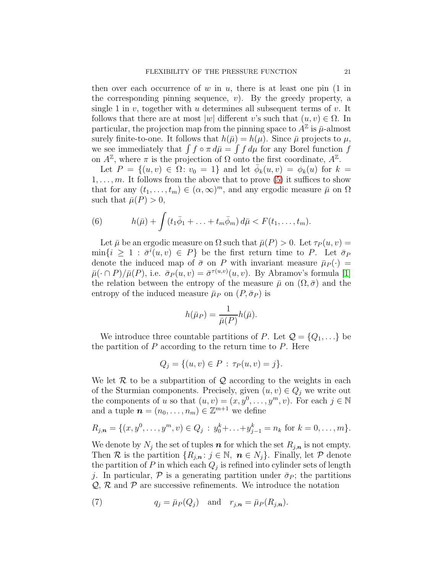then over each occurrence of w in u, there is at least one pin  $(1 \text{ in}$ the corresponding pinning sequence,  $v$ ). By the greedy property, a single 1 in v, together with u determines all subsequent terms of v. It follows that there are at most  $|w|$  different v's such that  $(u, v) \in \Omega$ . In particular, the projection map from the pinning space to  $A^{\mathbb{Z}}$  is  $\bar{\mu}$ -almost surely finite-to-one. It follows that  $h(\bar{\mu}) = h(\mu)$ . Since  $\bar{\mu}$  projects to  $\mu$ , we see immediately that  $\int f \circ \pi d\bar{\mu} = \int f d\mu$  for any Borel function f on  $A^{\mathbb{Z}}$ , where  $\pi$  is the projection of  $\Omega$  onto the first coordinate,  $A^{\mathbb{Z}}$ .

Let  $P = \{(u, v) \in \Omega : v_0 = 1\}$  and let  $\bar{\phi}_k(u, v) = \phi_k(u)$  for  $k =$  $1, \ldots, m$ . It follows from the above that to prove [\(5\)](#page-18-0) it suffices to show that for any  $(t_1, \ldots, t_m) \in (\alpha, \infty)^m$ , and any ergodic measure  $\bar{\mu}$  on  $\Omega$ such that  $\bar{\mu}(P) > 0$ ,

(6) 
$$
h(\bar{\mu}) + \int (t_1\bar{\phi}_1 + \ldots + t_m\bar{\phi}_m) d\bar{\mu} < F(t_1,\ldots,t_m).
$$

Let  $\bar{\mu}$  be an ergodic measure on  $\Omega$  such that  $\bar{\mu}(P) > 0$ . Let  $\tau_P(u, v) =$  $\min\{i \geq 1 : \bar{\sigma}^i(u,v) \in P\}$  be the first return time to P. Let  $\bar{\sigma}_P$ denote the induced map of  $\bar{\sigma}$  on P with invariant measure  $\bar{\mu}_P(\cdot)$  =  $\bar{\mu}(\cdot \cap P)/\bar{\mu}(P)$ , i.e.  $\bar{\sigma}_P(u,v) = \bar{\sigma}^{\tau(u,v)}(u, v)$ . By Abramov's formula [\[1\]](#page-32-8) the relation between the entropy of the measure  $\bar{\mu}$  on  $(\Omega, \bar{\sigma})$  and the entropy of the induced measure  $\bar{\mu}_P$  on  $(P, \bar{\sigma}_P)$  is

$$
h(\bar \mu_P) = \frac{1}{\bar{\mu}(P)} h(\bar{\mu}).
$$

We introduce three countable partitions of P. Let  $\mathcal{Q} = \{Q_1, \ldots\}$  be the partition of  $P$  according to the return time to  $P$ . Here

$$
Q_j = \{(u, v) \in P : \tau_P(u, v) = j\}.
$$

We let  $\mathcal R$  to be a subpartition of  $\mathcal Q$  according to the weights in each of the Sturmian components. Precisely, given  $(u, v) \in Q_i$  we write out the components of u so that  $(u, v) = (x, y^0, \dots, y^m, v)$ . For each  $j \in \mathbb{N}$ and a tuple  $\boldsymbol{n} = (n_0, \ldots, n_m) \in \mathbb{Z}^{m+1}$  we define

$$
R_{j,n} = \{(x, y^0, \dots, y^m, v) \in Q_j : y_0^k + \dots + y_{j-1}^k = n_k \text{ for } k = 0, \dots, m\}.
$$

We denote by  $N_i$  the set of tuples  $n$  for which the set  $R_{i,n}$  is not empty. Then R is the partition  $\{R_{j,n}: j \in \mathbb{N}, n \in N_j\}$ . Finally, let P denote the partition of P in which each  $Q_j$  is refined into cylinder sets of length j. In particular,  $\mathcal P$  is a generating partition under  $\bar{\sigma}_P$ ; the partitions  $Q, R$  and  $P$  are successive refinements. We introduce the notation

<span id="page-20-0"></span>(7) 
$$
q_j = \bar{\mu}_P(Q_j) \quad \text{and} \quad r_{j,n} = \bar{\mu}_P(R_{j,n}).
$$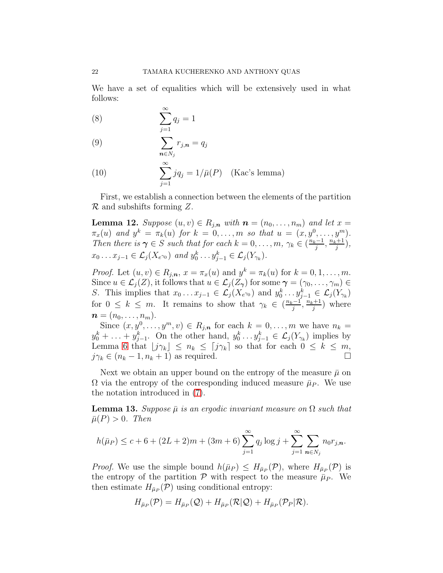We have a set of equalities which will be extensively used in what follows:

<span id="page-21-1"></span>
$$
(8) \qquad \qquad \sum_{j=1}^{\infty} q_j = 1
$$

<span id="page-21-2"></span>
$$
(9) \qquad \sum_{\mathbf{n}\in N_j} r_{j,\mathbf{n}} = q_j
$$

<span id="page-21-4"></span>(10) 
$$
\sum_{j=1}^{\infty} jq_j = 1/\bar{\mu}(P) \quad \text{(Kac's lemma)}
$$

First, we establish a connection between the elements of the partition  $\mathcal R$  and subshifts forming Z.

<span id="page-21-0"></span>**Lemma 12.** Suppose  $(u, v) \in R_{i,n}$  with  $n = (n_0, \ldots, n_m)$  and let  $x =$  $\pi_x(u)$  and  $y^k = \pi_k(u)$  for  $k = 0, ..., m$  so that  $u = (x, y^0, ..., y^m)$ . Then there is  $\gamma \in S$  such that for each  $k = 0, \ldots, m, \gamma_k \in (\frac{n_k-1}{i})$  $\frac{i-1}{j}, \frac{n_k+1}{j}$  $\frac{j+1}{j}$ ),  $x_0 \dots x_{j-1} \in \mathcal{L}_j(X_{e^{\gamma_0}})$  and  $y_0^k \dots y_{j-1}^k \in \mathcal{L}_j(Y_{\gamma_k})$ .

*Proof.* Let  $(u, v) \in R_{j,n}$ ,  $x = \pi_x(u)$  and  $y^k = \pi_k(u)$  for  $k = 0, 1, ..., m$ . Since  $u \in \mathcal{L}_j(Z)$ , it follows that  $u \in \mathcal{L}_j(Z_\gamma)$  for some  $\gamma = (\gamma_0, \ldots, \gamma_m) \in$ S. This implies that  $x_0 \dots x_{j-1} \in \mathcal{L}_j(X_{e^{\gamma_0}})$  and  $y_0^k \dots y_{j-1}^k \in \mathcal{L}_j(Y_{\gamma_k})$ for  $0 \leq k \leq m$ . It remains to show that  $\gamma_k \in (\frac{n_k-1}{i})$  $\frac{i-1}{j}, \frac{n_k+1}{j}$  $\binom{j+1}{j}$  where  $\boldsymbol{n} = (n_0, \ldots, n_m).$ 

Since  $(x, y^0, \ldots, y^m, v) \in R_{j,n}$  for each  $k = 0, \ldots, m$  we have  $n_k =$  $y_0^k + \ldots + y_{j-1}^k$ . On the other hand,  $y_0^k \ldots y_{j-1}^k \in \mathcal{L}_j(Y_{\gamma_k})$  implies by Lemma [6](#page-11-1) that  $\lfloor j\gamma_k \rfloor \leq n_k \leq \lceil j\gamma_k \rceil$  so that for each  $0 \leq k \leq m$ ,  $j\gamma_k \in (n_k - 1, n_k + 1)$  as required.

Next we obtain an upper bound on the entropy of the measure  $\bar{\mu}$  on  $\Omega$  via the entropy of the corresponding induced measure  $\bar{\mu}_P$ . We use the notation introduced in [\(7\)](#page-20-0).

<span id="page-21-3"></span>**Lemma 13.** Suppose  $\bar{\mu}$  is an ergodic invariant measure on  $\Omega$  such that  $\bar{\mu}(P) > 0$ . Then

$$
h(\bar{\mu}_P) \le c + 6 + (2L + 2)m + (3m + 6) \sum_{j=1}^{\infty} q_j \log j + \sum_{j=1}^{\infty} \sum_{n \in N_j} n_0 r_{j,n}.
$$

*Proof.* We use the simple bound  $h(\bar{\mu}_P) \leq H_{\bar{\mu}_P}(\mathcal{P})$ , where  $H_{\bar{\mu}_P}(\mathcal{P})$  is the entropy of the partition  $P$  with respect to the measure  $\bar{\mu}_P$ . We then estimate  $H_{\bar{\mu}_P}(\mathcal{P})$  using conditional entropy:

$$
H_{\bar{\mu}_P}(\mathcal{P})=H_{\bar{\mu}_P}(\mathcal{Q})+H_{\bar{\mu}_P}(\mathcal{R}|\mathcal{Q})+H_{\bar{\mu}_P}(\mathcal{P}_P|\mathcal{R}).
$$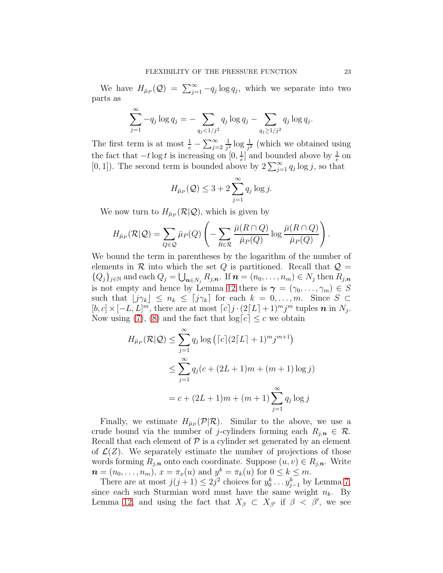We have  $H_{\bar{\mu}_P}(Q) = \sum_{j=1}^{\infty} -q_j \log q_j$ , which we separate into two parts as

$$
\sum_{j=1}^{\infty} -q_j \log q_j = -\sum_{q_j < 1/j^2} q_j \log q_j - \sum_{q_j \ge 1/j^2} q_j \log q_j.
$$

The first term is at most  $\frac{1}{e} - \sum_{j=2}^{\infty}$ 1  $\frac{1}{j^2} \log \frac{1}{j^2}$  (which we obtained using the fact that  $-t \log t$  is increasing on  $[0, \frac{1}{e}]$  $\frac{1}{e}$  and bounded above by  $\frac{1}{e}$  on [0, 1]). The second term is bounded above by  $2\sum_{j=1}^{\infty} q_j \log j$ , so that

$$
H_{\bar{\mu}_P}(\mathcal{Q}) \leq 3 + 2 \sum_{j=1}^{\infty} q_j \log j.
$$

We now turn to  $H_{\bar{\mu}_P}(\mathcal{R}|\mathcal{Q})$ , which is given by

$$
H_{\bar{\mu}_P}(\mathcal{R}|\mathcal{Q}) = \sum_{Q \in \mathcal{Q}} \bar{\mu}_P(Q) \left( -\sum_{R \in \mathcal{R}} \frac{\bar{\mu}(R \cap Q)}{\bar{\mu}_P(Q)} \log \frac{\bar{\mu}(R \cap Q)}{\bar{\mu}_P(Q)} \right).
$$

We bound the term in parentheses by the logarithm of the number of elements in  $R$  into which the set  $Q$  is partitioned. Recall that  $Q =$  ${Q_j\}_{j\in\mathbb{N}}$  and each  $Q_j = \bigcup_{n\in N_j} R_{j,n}$ . If  $n = (n_0, \ldots, n_m) \in N_j$  then  $R_{j,n}$ is not empty and hence by Lemma [12](#page-21-0) there is  $\gamma = (\gamma_0, \ldots, \gamma_m) \in S$ such that  $|j\gamma_k| \leq n_k \leq [j\gamma_k]$  for each  $k = 0, \ldots, m$ . Since  $S \subset$  $[b, c] \times [-L, L]^m$ , there are at most  $[c] j \cdot (2[L] + 1)^m j^m$  tuples **n** in N<sub>j</sub>. Now using [\(7\)](#page-20-0), [\(8\)](#page-21-1) and the fact that  $log[c] \leq c$  we obtain

$$
H_{\bar{\mu}_P}(\mathcal{R}|\mathcal{Q}) \le \sum_{j=1}^{\infty} q_j \log \left( \lceil c \rceil (2[L] + 1)^m j^{m+1} \right)
$$
  

$$
\le \sum_{j=1}^{\infty} q_j (c + (2L+1)m + (m+1)\log j)
$$
  

$$
= c + (2L+1)m + (m+1)\sum_{j=1}^{\infty} q_j \log j
$$

Finally, we estimate  $H_{\bar{\mu}_P}(\mathcal{P}|\mathcal{R})$ . Similar to the above, we use a crude bound via the number of j-cylinders forming each  $R_{i,n} \in \mathcal{R}$ . Recall that each element of  $P$  is a cylinder set generated by an element of  $\mathcal{L}(Z)$ . We separately estimate the number of projections of those words forming  $R_{j,n}$  onto each coordinate. Suppose  $(u, v) \in R_{j,n}$ . Write  $\boldsymbol{n} = (n_0, \dots, n_m), x = \pi_x(u) \text{ and } y^k = \pi_k(u) \text{ for } 0 \leq k \leq m.$ 

There are at most  $j(j+1) \leq 2j^2$  choices for  $y_0^k \dots y_{j-1}^k$  by Lemma [7,](#page-12-1) since each such Sturmian word must have the same weight  $n_k$ . By Lemma [12,](#page-21-0) and using the fact that  $X_{\beta} \subset X_{\beta}$  if  $\beta < \beta'$ , we see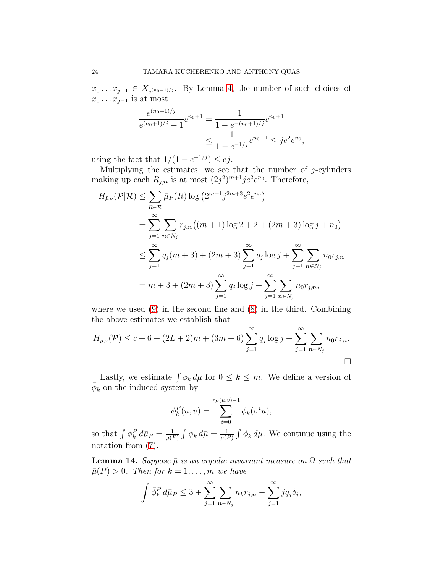$x_0 \dots x_{j-1} \in X_{e^{(n_0+1)/j}}$ . By Lemma [4,](#page-9-0) the number of such choices of  $x_0 \dots x_{j-1}$  is at most

$$
\frac{e^{(n_0+1)/j}}{e^{(n_0+1)/j}-1}e^{n_0+1} = \frac{1}{1 - e^{-(n_0+1)/j}}e^{n_0+1} \le \frac{1}{1 - e^{-1/j}}e^{n_0+1} \le je^2e^{n_0},
$$

using the fact that  $1/(1 - e^{-1/j}) \leq ej$ .

Multiplying the estimates, we see that the number of  $j$ -cylinders making up each  $R_{j,n}$  is at most  $(2j^2)^{m+1}je^2e^{n_0}$ . Therefore,

$$
H_{\bar{\mu}_P}(\mathcal{P}|\mathcal{R}) \leq \sum_{R \in \mathcal{R}} \bar{\mu}_P(R) \log (2^{m+1} j^{2m+3} e^{2} e^{n_0})
$$
  
= 
$$
\sum_{j=1}^{\infty} \sum_{n \in N_j} r_{j,n} ((m+1) \log 2 + 2 + (2m+3) \log j + n_0)
$$
  

$$
\leq \sum_{j=1}^{\infty} q_j (m+3) + (2m+3) \sum_{j=1}^{\infty} q_j \log j + \sum_{j=1}^{\infty} \sum_{n \in N_j} n_0 r_{j,n}
$$
  
= 
$$
m+3 + (2m+3) \sum_{j=1}^{\infty} q_j \log j + \sum_{j=1}^{\infty} \sum_{n \in N_j} n_0 r_{j,n},
$$

where we used  $(9)$  in the second line and  $(8)$  in the third. Combining the above estimates we establish that

$$
H_{\bar{\mu}_P}(\mathcal{P}) \le c + 6 + (2L + 2)m + (3m + 6)\sum_{j=1}^{\infty} q_j \log j + \sum_{j=1}^{\infty} \sum_{n \in N_j} n_0 r_{j,n}.
$$

Lastly, we estimate  $\int \phi_k d\mu$  for  $0 \leq k \leq m$ . We define a version of  $\bar{\phi}_k$  on the induced system by

$$
\bar{\phi}_k^P(u,v) = \sum_{i=0}^{\tau_P(u,v)-1} \phi_k(\sigma^i u),
$$

so that  $\int \bar{\phi}_k^P d\bar{\mu}_P = \frac{1}{\bar{\mu}(P)}$  $\frac{1}{\bar{\mu}(P)}\int \bar{\phi}_k\,d\bar{\mu}=\frac{1}{\bar{\mu}(P)}$  $\frac{1}{\bar{\mu}(P)} \int \phi_k d\mu$ . We continue using the notation from [\(7\)](#page-20-0).

<span id="page-23-0"></span>**Lemma 14.** Suppose  $\bar{\mu}$  is an ergodic invariant measure on  $\Omega$  such that  $\bar{\mu}(P) > 0$ . Then for  $k = 1, \ldots, m$  we have

$$
\int \bar{\phi}_k^P d\bar{\mu}_P \leq 3 + \sum_{j=1}^{\infty} \sum_{n \in N_j} n_k r_{j,n} - \sum_{j=1}^{\infty} j q_j \delta_j,
$$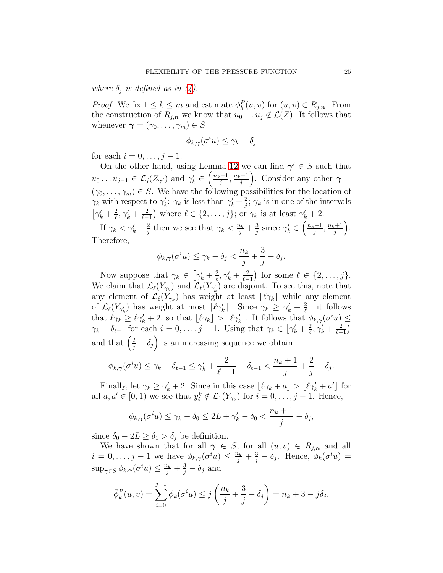where  $\delta_j$  is defined as in [\(4\)](#page-15-1).

*Proof.* We fix  $1 \leq k \leq m$  and estimate  $\overline{\phi}_k^P(u, v)$  for  $(u, v) \in R_{j,n}$ . From the construction of  $R_{i,n}$  we know that  $u_0 \ldots u_j \notin \mathcal{L}(Z)$ . It follows that whenever  $\boldsymbol{\gamma} = (\gamma_0, \ldots, \gamma_m) \in S$ 

$$
\phi_{k,\boldsymbol{\gamma}}(\sigma^i u) \leq \gamma_k - \delta_j
$$

for each  $i = 0, ..., j - 1$ .

On the other hand, using Lemma [12](#page-21-0) we can find  $\gamma' \in S$  such that  $u_0 \ldots u_{j-1} \in \mathcal{L}_j(Z_{\gamma'})$  and  $\gamma'_k \in \left(\frac{n_k-1}{j}\right)$  $\frac{j-1}{j}, \frac{n_k+1}{j}$  $\left(\frac{+1}{j}\right)$ . Consider any other  $\gamma =$  $(\gamma_0, \ldots, \gamma_m) \in S$ . We have the following possibilities for the location of  $\gamma_k$  with respect to  $\gamma'_k$ :  $\gamma_k$  is less than  $\gamma'_k + \frac{2}{i}$  $\frac{2}{j}$ ;  $\gamma_k$  is in one of the intervals  $\left[\gamma_k'+\frac{2}{\ell}\right]$  $\frac{2}{\ell}, \gamma_k' + \frac{2}{\ell-1}$  $\frac{2}{\ell-1}$  where  $\ell \in \{2, \ldots, j\}$ ; or  $\gamma_k$  is at least  $\gamma'_k + 2$ .

If  $\gamma_k < \gamma'_k + \frac{2}{i}$  $\frac{2}{j}$  then we see that  $\gamma_k < \frac{n_k}{j} + \frac{3}{j}$  $\frac{3}{j}$  since  $\gamma_k' \in \left(\frac{n_k-1}{j}\right)$  $\frac{i-1}{j}, \frac{n_k+1}{j}$  $\frac{j+1}{j}$ . Therefore,

$$
\phi_{k,\gamma}(\sigma^i u) \le \gamma_k - \delta_j < \frac{n_k}{j} + \frac{3}{j} - \delta_j.
$$

Now suppose that  $\gamma_k \in \left[\gamma'_k + \frac{2}{\ell}\right]$  $\frac{2}{\ell}, \gamma_k' + \frac{2}{\ell-1}$  $\frac{2}{\ell-1}$  for some  $\ell \in \{2,\ldots,j\}.$ We claim that  $\mathcal{L}_{\ell}(Y_{\gamma_k})$  and  $\mathcal{L}_{\ell}(Y_{\gamma'_k})$  are disjoint. To see this, note that any element of  $\mathcal{L}_{\ell}(Y_{\gamma_k})$  has weight at least  $\lfloor \ell \gamma_k \rfloor$  while any element of  $\mathcal{L}_{\ell}(Y_{\gamma'_{k}})$  has weight at most  $\lceil \ell \gamma'_{k} \rceil$ . Since  $\gamma_{k} \geq \gamma'_{k} + \frac{2}{\ell}$  $\frac{2}{\ell}$ . it follows that  $\ell \gamma_k \geq \ell \gamma'_k + 2$ , so that  $\lfloor \ell \gamma_k \rfloor > \lceil \ell \gamma'_k \rceil$ . It follows that  $\phi_{k,\gamma}(\sigma^i u) \leq$  $\gamma_k - \delta_{\ell-1}$  for each  $i = 0, \ldots, j-1$ . Using that  $\gamma_k \in \left[\gamma'_k + \frac{2}{\ell}\right]$  $\frac{2}{\ell}, \gamma_k' + \frac{2}{\ell-1}$  $\frac{2}{\ell-1}$ and that  $\left(\frac{2}{j}-\delta_j\right)$  is an increasing sequence we obtain

$$
\phi_{k,\gamma}(\sigma^i u) \leq \gamma_k - \delta_{\ell-1} \leq \gamma_k' + \frac{2}{\ell-1} - \delta_{\ell-1} < \frac{n_k+1}{j} + \frac{2}{j} - \delta_j.
$$

Finally, let  $\gamma_k \geq \gamma'_k + 2$ . Since in this case  $\lfloor \ell \gamma_k + a \rfloor > \lfloor \ell \gamma'_k + a' \rfloor$  for all  $a, a' \in [0, 1)$  we see that  $y_i^k \notin \mathcal{L}_1(Y_{\gamma_k})$  for  $i = 0, \ldots, j - 1$ . Hence,

$$
\phi_{k,\gamma}(\sigma^i u) \le \gamma_k - \delta_0 \le 2L + \gamma'_k - \delta_0 < \frac{n_k + 1}{j} - \delta_j,
$$

since  $\delta_0 - 2L \geq \delta_1 > \delta_i$  be definition.

We have shown that for all  $\gamma \in S$ , for all  $(u, v) \in R_{j,n}$  and all  $i = 0, \ldots, j - 1$  we have  $\phi_{k,\gamma}(\sigma^i u) \leq \frac{n_k}{j} + \frac{3}{j} - \delta_j$ . Hence,  $\phi_k(\sigma^i u) =$  $\sup_{\gamma \in S} \phi_{k,\gamma}(\sigma^i u) \leq \frac{n_k}{j} + \frac{3}{j} - \delta_j$  and

$$
\bar{\phi}_k^P(u, v) = \sum_{i=0}^{j-1} \phi_k(\sigma^i u) \le j \left( \frac{n_k}{j} + \frac{3}{j} - \delta_j \right) = n_k + 3 - j\delta_j.
$$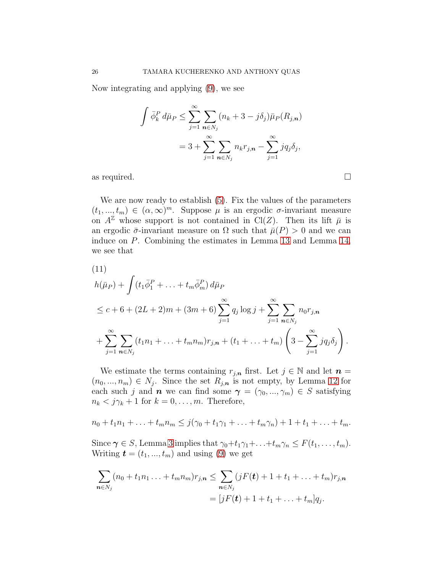Now integrating and applying [\(9\)](#page-21-2), we see

$$
\int \bar{\phi}_k^P d\bar{\mu}_P \le \sum_{j=1}^{\infty} \sum_{n \in N_j} (n_k + 3 - j\delta_j) \bar{\mu}_P(R_{j,n})
$$

$$
= 3 + \sum_{j=1}^{\infty} \sum_{n \in N_j} n_k r_{j,n} - \sum_{j=1}^{\infty} j q_j \delta_j,
$$

as required.  $\Box$ 

We are now ready to establish [\(5\)](#page-18-0). Fix the values of the parameters  $(t_1, ..., t_m) \in (\alpha, \infty)^m$ . Suppose  $\mu$  is an ergodic  $\sigma$ -invariant measure on  $A^{\mathbb{Z}}$  whose support is not contained in Cl(Z). Then its lift  $\bar{\mu}$  is an ergodic  $\bar{\sigma}$ -invariant measure on  $\Omega$  such that  $\bar{\mu}(P) > 0$  and we can induce on P. Combining the estimates in Lemma [13](#page-21-3) and Lemma [14,](#page-23-0) we see that

<span id="page-25-0"></span>(11)  
\n
$$
h(\bar{\mu}_P) + \int (t_1 \bar{\phi}_1^P + \ldots + t_m \bar{\phi}_m^P) d\bar{\mu}_P
$$
\n
$$
\leq c + 6 + (2L + 2)m + (3m + 6) \sum_{j=1}^{\infty} q_j \log j + \sum_{j=1}^{\infty} \sum_{n \in N_j} n_0 r_{j,n}
$$
\n
$$
+ \sum_{j=1}^{\infty} \sum_{n \in N_j} (t_1 n_1 + \ldots + t_m n_m) r_{j,n} + (t_1 + \ldots + t_m) \left(3 - \sum_{j=1}^{\infty} j q_j \delta_j\right).
$$

We estimate the terms containing  $r_{j,n}$  first. Let  $j \in \mathbb{N}$  and let  $n =$  $(n_0, ..., n_m) \in N_j$ . Since the set  $R_{j,n}$  is not empty, by Lemma [12](#page-21-0) for each such j and **n** we can find some  $\boldsymbol{\gamma} = (\gamma_0, ..., \gamma_m) \in S$  satisfying  $n_k < j\gamma_k + 1$  for  $k = 0, \ldots, m$ . Therefore,

$$
n_0 + t_1 n_1 + \ldots + t_m n_m \leq j(\gamma_0 + t_1 \gamma_1 + \ldots + t_m \gamma_n) + 1 + t_1 + \ldots + t_m.
$$

Since  $\gamma \in S$ , Lemma [3](#page-8-1) implies that  $\gamma_0+t_1\gamma_1+\ldots+t_m\gamma_n \leq F(t_1,\ldots,t_m)$ . Writing  $\mathbf{t} = (t_1, ..., t_m)$  and using [\(9\)](#page-21-2) we get

$$
\sum_{\mathbf{n}\in N_j} (n_0 + t_1 n_1 \dots + t_m n_m) r_{j,\mathbf{n}} \leq \sum_{\mathbf{n}\in N_j} (jF(\mathbf{t}) + 1 + t_1 + \dots + t_m) r_{j,\mathbf{n}} = [jF(\mathbf{t}) + 1 + t_1 + \dots + t_m] q_j.
$$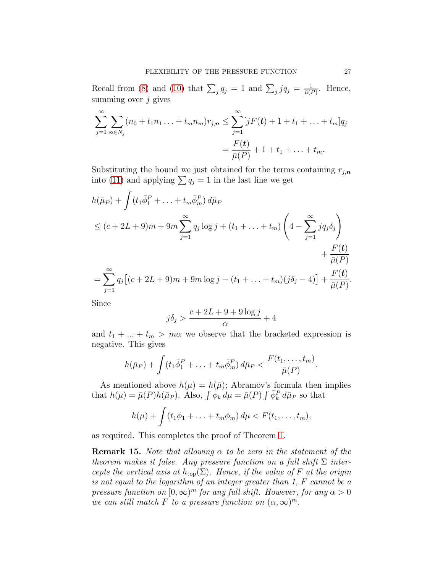Recall from [\(8\)](#page-21-1) and [\(10\)](#page-21-4) that  $\sum_{j} q_j = 1$  and  $\sum_{j} j q_j = \frac{1}{\bar{\mu}(l)}$  $\frac{1}{\bar{\mu}(P)}$ . Hence, summing over  $j$  gives

$$
\sum_{j=1}^{\infty} \sum_{n \in N_j} (n_0 + t_1 n_1 ... + t_m n_m) r_{j,n} \leq \sum_{j=1}^{\infty} [jF(\mathbf{t}) + 1 + t_1 + ... + t_m] q_j
$$
  
= 
$$
\frac{F(\mathbf{t})}{\bar{\mu}(P)} + 1 + t_1 + ... + t_m.
$$

Substituting the bound we just obtained for the terms containing  $r_{j,n}$ into [\(11\)](#page-25-0) and applying  $\sum q_j = 1$  in the last line we get

$$
h(\bar{\mu}_P) + \int (t_1 \bar{\phi}_1^P + \ldots + t_m \bar{\phi}_m^P) d\bar{\mu}_P
$$
  
\n
$$
\leq (c + 2L + 9)m + 9m \sum_{j=1}^{\infty} q_j \log j + (t_1 + \ldots + t_m) \left( 4 - \sum_{j=1}^{\infty} j q_j \delta_j \right) + \frac{F(t)}{\bar{\mu}(P)}
$$
  
\n
$$
= \sum_{j=1}^{\infty} q_j [(c + 2L + 9)m + 9m \log j - (t_1 + \ldots + t_m)(j\delta_j - 4)] + \frac{F(t)}{\bar{\mu}(P)}.
$$

Since

$$
j\delta_j > \frac{c + 2L + 9 + 9\log j}{\alpha} + 4
$$

and  $t_1 + \ldots + t_m > m\alpha$  we observe that the bracketed expression is negative. This gives

$$
h(\bar \mu_P) + \int (t_1 \bar \phi_1^P + \ldots + t_m \bar \phi_m^P) d\bar \mu_P < \frac{F(t_1, \ldots, t_m)}{\bar \mu(P)}.
$$

As mentioned above  $h(\mu) = h(\bar{\mu})$ ; Abramov's formula then implies that  $h(\mu) = \bar{\mu}(P)h(\bar{\mu}_P)$ . Also,  $\int \phi_k d\mu = \bar{\mu}(P) \int \bar{\phi}_k^P d\bar{\mu}_P$  so that

$$
h(\mu)+\int (t_1\phi_1+\ldots+t_m\phi_m)\,d\mu
$$

as required. This completes the proof of Theorem [1.](#page-3-0)

**Remark 15.** Note that allowing  $\alpha$  to be zero in the statement of the theorem makes it false. Any pressure function on a full shift  $\Sigma$  intercepts the vertical axis at  $h_{\text{top}}(\Sigma)$ . Hence, if the value of F at the origin is not equal to the logarithm of an integer greater than 1, F cannot be a pressure function on  $[0,\infty)^m$  for any full shift. However, for any  $\alpha > 0$ we can still match F to a pressure function on  $(\alpha, \infty)^m$ .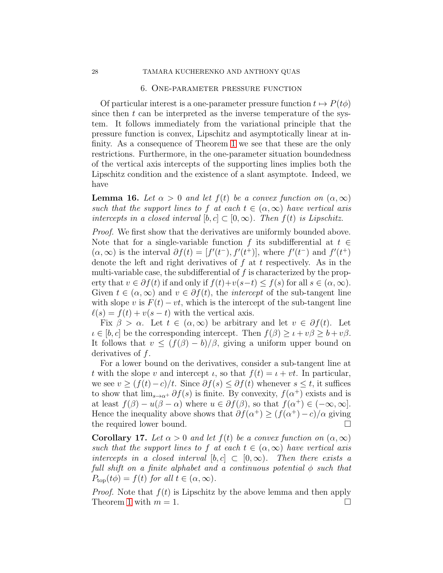#### 6. One-parameter pressure function

<span id="page-27-0"></span>Of particular interest is a one-parameter pressure function  $t \mapsto P(t\phi)$ since then  $t$  can be interpreted as the inverse temperature of the system. It follows immediately from the variational principle that the pressure function is convex, Lipschitz and asymptotically linear at infinity. As a consequence of Theorem [1](#page-3-0) we see that these are the only restrictions. Furthermore, in the one-parameter situation boundedness of the vertical axis intercepts of the supporting lines implies both the Lipschitz condition and the existence of a slant asymptote. Indeed, we have

**Lemma 16.** Let  $\alpha > 0$  and let  $f(t)$  be a convex function on  $(\alpha, \infty)$ such that the support lines to f at each  $t \in (\alpha, \infty)$  have vertical axis intercepts in a closed interval  $[b, c] \subset [0, \infty)$ . Then  $f(t)$  is Lipschitz.

Proof. We first show that the derivatives are uniformly bounded above. Note that for a single-variable function f its subdifferential at  $t \in$  $(\alpha, \infty)$  is the interval  $\partial f(t) = [f'(t^-), f'(t^+)]$ , where  $f'(t^-)$  and  $f'(t^+)$ denote the left and right derivatives of  $f$  at  $t$  respectively. As in the multi-variable case, the subdifferential of f is characterized by the property that  $v \in \partial f(t)$  if and only if  $f(t)+v(s-t) \leq f(s)$  for all  $s \in (\alpha,\infty)$ . Given  $t \in (\alpha, \infty)$  and  $v \in \partial f(t)$ , the *intercept* of the sub-tangent line with slope v is  $F(t) - vt$ , which is the intercept of the sub-tangent line  $\ell(s) = f(t) + v(s - t)$  with the vertical axis.

Fix  $\beta > \alpha$ . Let  $t \in (\alpha, \infty)$  be arbitrary and let  $v \in \partial f(t)$ . Let  $i \in [b, c]$  be the corresponding intercept. Then  $f(\beta) \geq i + v\beta \geq b + v\beta$ . It follows that  $v \leq (f(\beta) - b)/\beta$ , giving a uniform upper bound on derivatives of  $f$ .

For a lower bound on the derivatives, consider a sub-tangent line at t with the slope v and intercept  $\iota$ , so that  $f(t) = \iota + vt$ . In particular, we see  $v \ge (f(t)-c)/t$ . Since  $\partial f(s) \le \partial f(t)$  whenever  $s \le t$ , it suffices to show that  $\lim_{s\to\alpha^+} \partial f(s)$  is finite. By convexity,  $f(\alpha^+)$  exists and is at least  $f(\beta) - u(\beta - \alpha)$  where  $u \in \partial f(\beta)$ , so that  $f(\alpha^+) \in (-\infty, \infty]$ . Hence the inequality above shows that  $\partial f(\alpha^+) \geq (f(\alpha^+) - c)/\alpha$  giving the required lower bound.

<span id="page-27-1"></span>**Corollary 17.** Let  $\alpha > 0$  and let  $f(t)$  be a convex function on  $(\alpha, \infty)$ such that the support lines to f at each  $t \in (\alpha, \infty)$  have vertical axis intercepts in a closed interval  $[b, c] \subset [0, \infty)$ . Then there exists a full shift on a finite alphabet and a continuous potential  $\phi$  such that  $P_{\text{top}}(t\phi) = f(t)$  for all  $t \in (\alpha, \infty)$ .

*Proof.* Note that  $f(t)$  is Lipschitz by the above lemma and then apply Theorem [1](#page-3-0) with  $m = 1$ .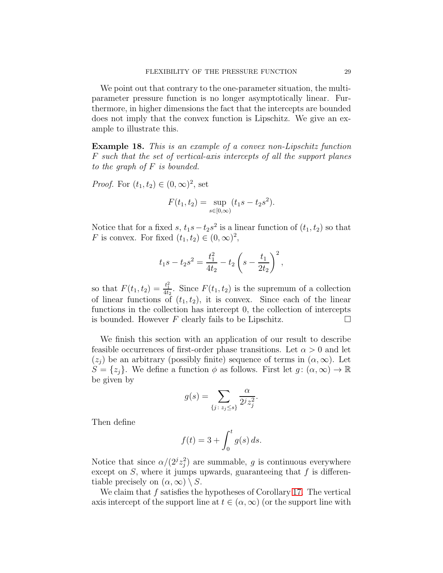We point out that contrary to the one-parameter situation, the multiparameter pressure function is no longer asymptotically linear. Furthermore, in higher dimensions the fact that the intercepts are bounded does not imply that the convex function is Lipschitz. We give an example to illustrate this.

Example 18. This is an example of a convex non-Lipschitz function F such that the set of vertical-axis intercepts of all the support planes to the graph of  $F$  is bounded.

*Proof.* For  $(t_1, t_2) \in (0, \infty)^2$ , set

$$
F(t_1, t_2) = \sup_{s \in [0, \infty)} (t_1 s - t_2 s^2).
$$

Notice that for a fixed s,  $t_1s - t_2s^2$  is a linear function of  $(t_1, t_2)$  so that F is convex. For fixed  $(t_1, t_2) \in (0, \infty)^2$ ,

$$
t_1s - t_2s^2 = \frac{t_1^2}{4t_2} - t_2\left(s - \frac{t_1}{2t_2}\right)^2,
$$

so that  $F(t_1, t_2) = \frac{t_1^2}{4t_2}$ . Since  $F(t_1, t_2)$  is the supremum of a collection of linear functions of  $(t_1, t_2)$ , it is convex. Since each of the linear functions in the collection has intercept 0, the collection of intercepts is bounded. However F clearly fails to be Lipschitz.  $\Box$ 

We finish this section with an application of our result to describe feasible occurrences of first-order phase transitions. Let  $\alpha > 0$  and let  $(z_i)$  be an arbitrary (possibly finite) sequence of terms in  $(\alpha, \infty)$ . Let  $S = \{z_j\}$ . We define a function  $\phi$  as follows. First let  $g: (\alpha, \infty) \to \mathbb{R}$ be given by

$$
g(s) = \sum_{\{j \colon z_j \le s\}} \frac{\alpha}{2^j z_j^2}.
$$

Then define

$$
f(t) = 3 + \int_0^t g(s) \, ds.
$$

Notice that since  $\alpha/(2^j z_j^2)$  are summable, g is continuous everywhere except on  $S$ , where it jumps upwards, guaranteeing that  $f$  is differentiable precisely on  $(\alpha, \infty) \setminus S$ .

We claim that  $f$  satisfies the hypotheses of Corollary [17.](#page-27-1) The vertical axis intercept of the support line at  $t \in (\alpha, \infty)$  (or the support line with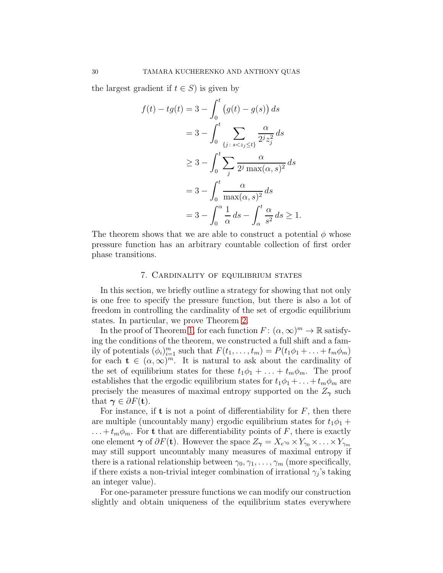the largest gradient if  $t \in S$ ) is given by

$$
f(t) - tg(t) = 3 - \int_0^t (g(t) - g(s)) ds
$$
  

$$
= 3 - \int_0^t \sum_{\{j \colon s < z_j \le t\}} \frac{\alpha}{2^j z_j^2} ds
$$
  

$$
\ge 3 - \int_0^t \sum_j \frac{\alpha}{2^j \max(\alpha, s)^2} ds
$$
  

$$
= 3 - \int_0^t \frac{\alpha}{\max(\alpha, s)^2} ds
$$
  

$$
= 3 - \int_0^{\alpha} \frac{1}{\alpha} ds - \int_{\alpha}^t \frac{\alpha}{s^2} ds \ge 1.
$$

The theorem shows that we are able to construct a potential  $\phi$  whose pressure function has an arbitrary countable collection of first order phase transitions.

## 7. Cardinality of equilibrium states

<span id="page-29-0"></span>In this section, we briefly outline a strategy for showing that not only is one free to specify the pressure function, but there is also a lot of freedom in controlling the cardinality of the set of ergodic equilibrium states. In particular, we prove Theorem [2.](#page-7-1)

In the proof of Theorem [1,](#page-3-0) for each function  $F: (\alpha, \infty)^m \to \mathbb{R}$  satisfying the conditions of the theorem, we constructed a full shift and a family of potentials  $(\phi_i)_{i=1}^m$  such that  $F(t_1, \ldots, t_m) = P(t_1\phi_1 + \ldots + t_m\phi_m)$ for each  $\mathbf{t} \in (\alpha, \infty)^m$ . It is natural to ask about the cardinality of the set of equilibrium states for these  $t_1\phi_1 + \ldots + t_m\phi_m$ . The proof establishes that the ergodic equilibrium states for  $t_1\phi_1 + \ldots + t_m\phi_m$  are precisely the measures of maximal entropy supported on the  $Z_{\gamma}$  such that  $\gamma \in \partial F(\mathbf{t}).$ 

For instance, if **t** is not a point of differentiability for  $F$ , then there are multiple (uncountably many) ergodic equilibrium states for  $t_1\phi_1 +$ ... +  $t_m \phi_m$ . For **t** that are differentiability points of F, there is exactly one element  $\gamma$  of  $\partial F(t)$ . However the space  $Z_{\gamma} = X_{e^{\gamma_0}} \times Y_{\gamma_0} \times \ldots \times Y_{\gamma_m}$ may still support uncountably many measures of maximal entropy if there is a rational relationship between  $\gamma_0, \gamma_1, \ldots, \gamma_m$  (more specifically, if there exists a non-trivial integer combination of irrational  $\gamma_j$ 's taking an integer value).

For one-parameter pressure functions we can modify our construction slightly and obtain uniqueness of the equilibrium states everywhere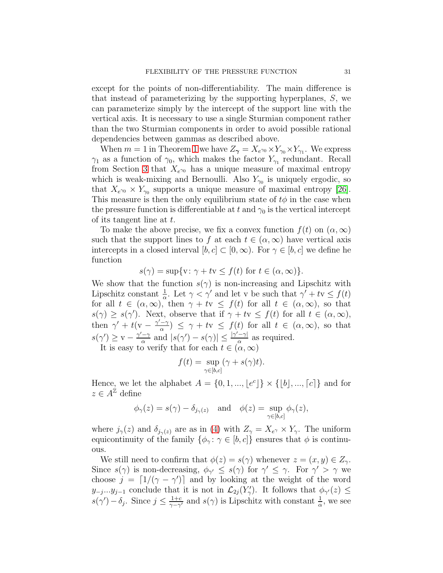except for the points of non-differentiability. The main difference is that instead of parameterizing by the supporting hyperplanes, S, we can parameterize simply by the intercept of the support line with the vertical axis. It is necessary to use a single Sturmian component rather than the two Sturmian components in order to avoid possible rational dependencies between gammas as described above.

When  $m = 1$  $m = 1$  in Theorem 1 we have  $Z_{\gamma} = X_{e^{\gamma_0}} \times Y_{\gamma_0} \times Y_{\gamma_1}$ . We express  $\gamma_1$  as a function of  $\gamma_0$ , which makes the factor  $Y_{\gamma_1}$  redundant. Recall from Section [3](#page-8-0) that  $X_{e^{\gamma_0}}$  has a unique measure of maximal entropy which is weak-mixing and Bernoulli. Also  $Y_{\gamma_0}$  is uniquely ergodic, so that  $X_{e^{\gamma_0}} \times Y_{\gamma_0}$  supports a unique measure of maximal entropy [\[26\]](#page-33-21). This measure is then the only equilibrium state of  $t\phi$  in the case when the pressure function is differentiable at t and  $\gamma_0$  is the vertical intercept of its tangent line at t.

To make the above precise, we fix a convex function  $f(t)$  on  $(\alpha,\infty)$ such that the support lines to f at each  $t \in (\alpha, \infty)$  have vertical axis intercepts in a closed interval  $[b, c] \subset [0, \infty)$ . For  $\gamma \in [b, c]$  we define he function

$$
s(\gamma) = \sup\{v : \gamma + tv \le f(t) \text{ for } t \in (\alpha, \infty)\}.
$$

We show that the function  $s(\gamma)$  is non-increasing and Lipschitz with Lipschitz constant  $\frac{1}{\alpha}$ . Let  $\gamma < \gamma'$  and let v be such that  $\gamma' + t\mathbf{v} \leq f(t)$ for all  $t \in (\alpha, \infty)$ , then  $\gamma + tv \leq f(t)$  for all  $t \in (\alpha, \infty)$ , so that  $s(\gamma) \geq s(\gamma')$ . Next, observe that if  $\gamma + tv \leq f(t)$  for all  $t \in (\alpha, \infty)$ , then  $\gamma' + t(v - \frac{\gamma' - \gamma}{\alpha})$  $\frac{d}{dx}$   $\leq \gamma + t\mathbf{v} \leq f(t)$  for all  $t \in (\alpha, \infty)$ , so that  $s(\gamma') \geq v - \frac{\gamma' - \gamma}{\alpha}$  $\frac{-\gamma}{\alpha}$  and  $|s(\gamma') - s(\gamma)| \leq \frac{|\gamma' - \gamma|}{\alpha}$  $\frac{-\gamma_1}{\alpha}$  as required.

It is easy to verify that for each  $t \in (\alpha, \infty)$ 

$$
f(t) = \sup_{\gamma \in [b,c]} (\gamma + s(\gamma)t).
$$

Hence, we let the alphabet  $A = \{0, 1, ..., \lfloor e^c \rfloor\} \times \{\lfloor b \rfloor, ..., \lceil c \rceil\}$  and for  $z \in A^{\mathbb{Z}}$  define

$$
\phi_{\gamma}(z) = s(\gamma) - \delta_{j_{\gamma}(z)}
$$
 and  $\phi(z) = \sup_{\gamma \in [b,c]} \phi_{\gamma}(z)$ ,

where  $j_{\gamma}(z)$  and  $\delta_{j_{\gamma}(z)}$  are as in [\(4\)](#page-15-1) with  $Z_{\gamma} = X_{e^{\gamma}} \times Y_{\gamma}$ . The uniform equicontinuity of the family  $\{\phi_{\gamma} : \gamma \in [b, c]\}\$ ensures that  $\phi$  is continuous.

We still need to confirm that  $\phi(z) = s(\gamma)$  whenever  $z = (x, y) \in Z_{\gamma}$ . Since  $s(\gamma)$  is non-decreasing,  $\phi_{\gamma'} \leq s(\gamma)$  for  $\gamma' \leq \gamma$ . For  $\gamma' > \gamma$  we choose  $j = \lfloor 1/(\gamma - \gamma') \rfloor$  and by looking at the weight of the word  $y_{-j}...y_{j-1}$  conclude that it is not in  $\mathcal{L}_{2j}(Y'_{\gamma})$ . It follows that  $\phi_{\gamma}(z) \leq$  $s(\gamma') - \delta_j$ . Since  $j \leq \frac{1+c}{\gamma - \gamma}$  $\frac{1+c}{\gamma-\gamma'}$  and  $s(\gamma)$  is Lipschitz with constant  $\frac{1}{\alpha}$ , we see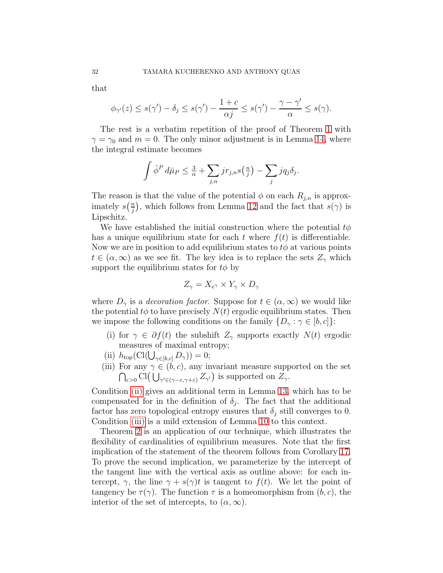that

$$
\phi_{\gamma'}(z) \le s(\gamma') - \delta_j \le s(\gamma') - \frac{1+c}{\alpha j} \le s(\gamma') - \frac{\gamma - \gamma'}{\alpha} \le s(\gamma).
$$

The rest is a verbatim repetition of the proof of Theorem [1](#page-3-0) with  $\gamma = \gamma_0$  and  $m = 0$ . The only minor adjustment is in Lemma [14,](#page-23-0) where the integral estimate becomes

$$
\int \bar{\phi}^P d\bar{\mu}_P \leq \frac{3}{\alpha} + \sum_{j,n} j r_{j,n} s(\frac{n}{j}) - \sum_j j q_j \delta_j.
$$

The reason is that the value of the potential  $\phi$  on each  $R_{j,n}$  is approximately  $s\left(\frac{n}{i}\right)$  $\frac{n}{j}$ , which follows from Lemma [12](#page-21-0) and the fact that  $s(\gamma)$  is Lipschitz.

We have established the initial construction where the potential  $t\phi$ has a unique equilibrium state for each t where  $f(t)$  is differentiable. Now we are in position to add equilibrium states to  $t\phi$  at various points  $t \in (\alpha, \infty)$  as we see fit. The key idea is to replace the sets  $Z_{\gamma}$  which support the equilibrium states for  $t\phi$  by

$$
Z_{\gamma} = X_{e^{\gamma}} \times Y_{\gamma} \times D_{\gamma}
$$

where  $D_{\gamma}$  is a *decoration factor*. Suppose for  $t \in (\alpha, \infty)$  we would like the potential  $t\phi$  to have precisely  $N(t)$  ergodic equilibrium states. Then we impose the following conditions on the family  $\{D_\gamma : \gamma \in [b, c]\}\$ :

- <span id="page-31-2"></span>(i) for  $\gamma \in \partial f(t)$  the subshift  $Z_{\gamma}$  supports exactly  $N(t)$  ergodic measures of maximal entropy;
- <span id="page-31-1"></span><span id="page-31-0"></span>(ii)  $h_{\text{top}}(\text{Cl}(\bigcup_{\gamma \in [b,c]} D_{\gamma})) = 0;$
- (iii) For any  $\gamma \in (b, c)$ , any invariant measure supported on the set  $\bigcap_{\varepsilon>0} \mathrm{Cl}(\bigcup_{\gamma'\in (\gamma-\varepsilon,\gamma+\varepsilon)} Z_{\gamma'})$  is supported on  $Z_{\gamma}$ .

Condition [\(ii\)](#page-31-0) gives an additional term in Lemma [13,](#page-21-3) which has to be compensated for in the definition of  $\delta_j$ . The fact that the additional factor has zero topological entropy ensures that  $\delta_i$  still converges to 0. Condition [\(iii\)](#page-31-1) is a mild extension of Lemma [10](#page-16-0) to this context.

Theorem [2](#page-7-1) is an application of our technique, which illustrates the flexibility of cardinalities of equilibrium measures. Note that the first implication of the statement of the theorem follows from Corollary [17.](#page-27-1) To prove the second implication, we parameterize by the intercept of the tangent line with the vertical axis as outline above: for each intercept,  $\gamma$ , the line  $\gamma + s(\gamma)t$  is tangent to  $f(t)$ . We let the point of tangency be  $\tau(\gamma)$ . The function  $\tau$  is a homeomorphism from  $(b, c)$ , the interior of the set of intercepts, to  $(\alpha, \infty)$ .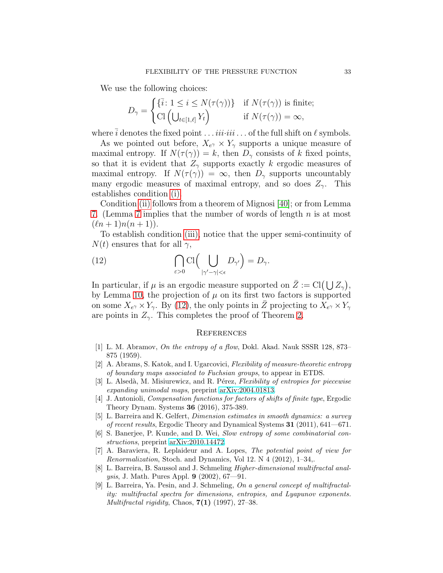We use the following choices:

$$
D_{\gamma} = \begin{cases} \{\bar{i}: 1 \leq i \leq N(\tau(\gamma))\} & \text{if } N(\tau(\gamma)) \text{ is finite;}\\ \text{Cl} \left( \bigcup_{t \in [1,\ell]} Y_t \right) & \text{if } N(\tau(\gamma)) = \infty, \end{cases}
$$

where  $\overline{i}$  denotes the fixed point  $\dots$  *iii·iii* ... of the full shift on  $\ell$  symbols.

As we pointed out before,  $X_{e^{\gamma}} \times Y_{\gamma}$  supports a unique measure of maximal entropy. If  $N(\tau(\gamma)) = k$ , then  $D_{\gamma}$  consists of k fixed points, so that it is evident that  $Z_{\gamma}$  supports exactly k ergodic measures of maximal entropy. If  $N(\tau(\gamma)) = \infty$ , then  $D_{\gamma}$  supports uncountably many ergodic measures of maximal entropy, and so does  $Z_{\gamma}$ . This establishes condition [\(i\).](#page-31-2)

Condition [\(ii\)](#page-31-0) follows from a theorem of Mignosi [\[40\]](#page-34-20); or from Lemma [7.](#page-12-1) (Lemma [7](#page-12-1) implies that the number of words of length  $n$  is at most  $(\ell n + 1)n(n + 1)$ .

To establish condition [\(iii\),](#page-31-1) notice that the upper semi-continuity of  $N(t)$  ensures that for all  $\gamma$ ,

(12) 
$$
\bigcap_{\varepsilon>0} \text{Cl}\Big(\bigcup_{|\gamma'-\gamma|<\epsilon} D_{\gamma'}\Big)=D_{\gamma}.
$$

In particular, if  $\mu$  is an ergodic measure supported on  $\bar{Z} := \text{Cl}(\bigcup Z_{\gamma}),$ by Lemma [10,](#page-16-0) the projection of  $\mu$  on its first two factors is supported on some  $X_{e\gamma} \times Y_{\gamma}$ . By [\(12\)](#page-32-9), the only points in  $\overline{Z}$  projecting to  $\overline{X}_{e\gamma} \times Y_{\gamma}$ are points in  $Z_{\gamma}$ . This completes the proof of Theorem [2.](#page-7-1)

#### <span id="page-32-9"></span>**REFERENCES**

- <span id="page-32-8"></span>[1] L. M. Abramov, On the entropy of a flow, Dokl. Akad. Nauk SSSR 128, 873– 875 (1959).
- <span id="page-32-1"></span>[2] A. Abrams, S. Katok, and I. Ugarcovici, Flexibility of measure-theoretic entropy of boundary maps associated to Fuchsian groups, to appear in ETDS.
- <span id="page-32-0"></span>[3] L. Alsedà, M. Misiurewicz, and R. Pérez, Flexibility of entropies for piecewise expanding unimodal maps, preprint [arXiv:2004.01813.](http://arxiv.org/abs/2004.01813)
- <span id="page-32-6"></span>[4] J. Antonioli, Compensation functions for factors of shifts of finite type, Ergodic Theory Dynam. Systems 36 (2016), 375-389.
- <span id="page-32-3"></span>[5] L. Barreira and K. Gelfert, Dimension estimates in smooth dynamics: a survey of recent results, Ergodic Theory and Dynamical Systems 31 (2011), 641—671.
- <span id="page-32-2"></span>[6] S. Banerjee, P. Kunde, and D. Wei, Slow entropy of some combinatorial constructions, preprint [arXiv:2010.14472.](http://arxiv.org/abs/2010.14472)
- <span id="page-32-7"></span>[7] A. Baraviera, R. Leplaideur and A. Lopes, The potential point of view for Renormalization, Stoch. and Dynamics, Vol 12. N 4 (2012), 1–34,.
- <span id="page-32-5"></span>[8] L. Barreira, B. Saussol and J. Schmeling Higher-dimensional multifractal analysis, J. Math. Pures Appl. 9 (2002), 67—91.
- <span id="page-32-4"></span>[9] L. Barreira, Ya. Pesin, and J. Schmeling, On a general concept of multifractality: multifractal spectra for dimensions, entropies, and Lyapunov exponents. Multifractal rigidity, Chaos,  $7(1)$  (1997), 27–38.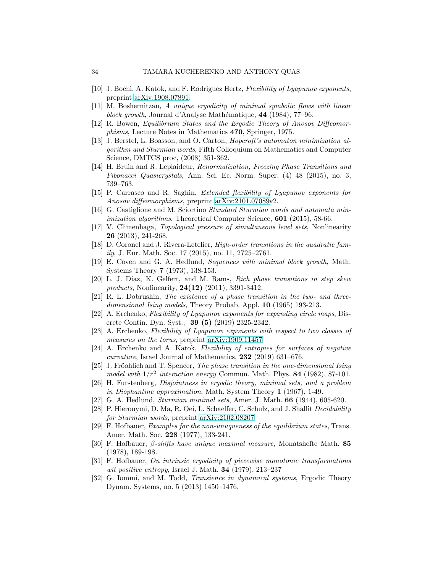- <span id="page-33-20"></span><span id="page-33-0"></span>[10] J. Bochi, A. Katok, and F. Rodriguez Hertz, Flexibility of Lyapunov exponents, preprint [arXiv:1908.07891.](http://arxiv.org/abs/1908.07891)
- <span id="page-33-6"></span>[11] M. Boshernitzan, A unique ergodicity of minimal symbolic flows with linear block growth, Journal d'Analyse Mathématique, 44 (1984), 77–96.
- <span id="page-33-8"></span>[12] R. Bowen, Equilibrium States and the Ergodic Theory of Anosov Diffeomorphisms, Lecture Notes in Mathematics 470, Springer, 1975.
- [13] J. Berstel, L. Boasson, and O. Carton, Hopcroft's automaton minimization algorithm and Sturmian words, Fifth Colloquium on Mathematics and Computer Science, DMTCS proc, (2008) 351-362.
- <span id="page-33-14"></span>[14] H. Bruin and R. Leplaideur, Renormalization, Freezing Phase Transitions and Fibonacci Quasicrystals, Ann. Sci. Ec. Norm. Super. (4) 48 (2015), no. 3, 739–763.
- <span id="page-33-9"></span><span id="page-33-4"></span>[15] P. Carrasco and R. Saghin, Extended flexibility of Lyapunov exponents for Anosov diffeomorphisms, preprint [arXiv:2101.07089v](http://arxiv.org/abs/2101.07089)2.
- [16] G. Castiglione and M. Sciortino Standard Sturmian words and automata minimization algorithms, Theoretical Computer Science, **601** (2015), 58-66.
- <span id="page-33-5"></span>[17] V. Climenhaga, Topological pressure of simultaneous level sets, Nonlinearity 26 (2013), 241-268.
- <span id="page-33-15"></span>[18] D. Coronel and J. Rivera-Letelier, High-order transitions in the quadratic family, J. Eur. Math. Soc. 17 (2015), no. 11, 2725–2761.
- <span id="page-33-18"></span>[19] E. Coven and G. A. Hedlund, Sequences with minimal block growth, Math. Systems Theory 7 (1973), 138-153.
- <span id="page-33-16"></span>[20] L. J. Díaz, K. Gelfert, and M. Rams, Rich phase transitions in step skew *products*, Nonlinearity, **24(12)** (2011), 3391-3412.
- <span id="page-33-11"></span>[21] R. L. Dobrushin, The existence of a phase transition in the two- and threedimensional Ising models, Theory Probab. Appl. **10** (1965) 193-213.
- <span id="page-33-2"></span>[22] A. Erchenko, Flexibility of Lyapunov exponents for expanding circle maps, Discrete Contin. Dyn. Syst., 39 (5) (2019) 2325-2342.
- <span id="page-33-3"></span>[23] A. Erchenko, Flexibility of Lyapunov exponents with respect to two classes of measures on the torus, preprint [arXiv:1909.11457.](http://arxiv.org/abs/1909.11457)
- <span id="page-33-1"></span>[24] A. Erchenko and A. Katok, Flexibility of entropies for surfaces of negative curvature, Israel Journal of Mathematics, 232 (2019) 631–676.
- <span id="page-33-12"></span>[25] J. Fröohlich and T. Spencer, The phase transition in the one-dimensional Ising model with  $1/r^2$  interaction energy Commun. Math. Phys. 84 (1982), 87-101.
- <span id="page-33-21"></span>[26] H. Furstenberg, Disjointness in ergodic theory, minimal sets, and a problem in Diophantine approximation, Math. System Theory 1 (1967), 1-49.
- <span id="page-33-19"></span><span id="page-33-10"></span>[27] G. A. Hedlund, Sturmian minimal sets, Amer. J. Math. 66 (1944), 605-620.
- [28] P. Hieronymi, D. Ma, R. Oei, L. Schaeffer, C. Schulz, and J. Shallit Decidability for Sturmian words, preprint [arXiv:2102.08207.](http://arxiv.org/abs/2102.08207)
- <span id="page-33-13"></span>[29] F. Hofbauer, Examples for the non-unuqueness of the equilibrium states, Trans. Amer. Math. Soc. 228 (1977), 133-241.
- <span id="page-33-7"></span>[30] F. Hofbauer, β-shifts have unique maximal measure, Monatshefte Math. 85 (1978), 189-198.
- <span id="page-33-17"></span>[31] F. Hofbauer, On intrinsic ergodicity of piecewise monotonic transformations wit positive entropy, Israel J. Math.  $34$  (1979), 213–237
- [32] G. Iommi, and M. Todd, Transience in dynamical systems, Ergodic Theory Dynam. Systems, no. 5 (2013) 1450–1476.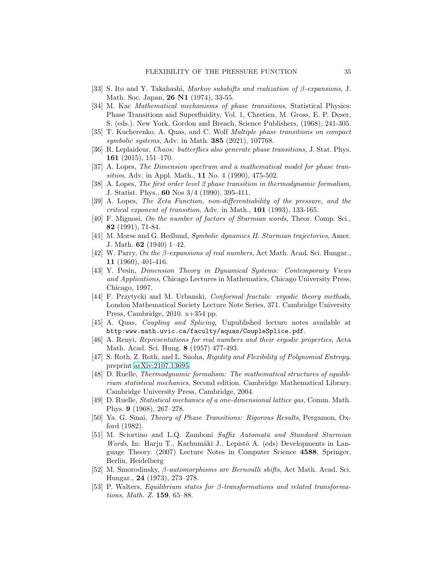- <span id="page-34-10"></span><span id="page-34-7"></span>[33] S. Ito and Y. Takahashi, *Markov subshifts and realization of β-expansions*, J. Math. Soc. Japan, **26 N1** (1974), 33-55.
- [34] M. Kac Mathematical mechanisms of phase transitions, Statistical Physics: Phase Transitions and Superfluidity, Vol. 1, Chretien, M. Gross, E. P. Deser, S. (eds.). New York, Gordon and Breach, Science Publishers, (1968), 241-305.
- <span id="page-34-16"></span>[35] T. Kucherenko, A. Quas, and C. Wolf Multiple phase transitions on compact symbolic systems, Adv. in Math. **385** (2021), 107768.
- <span id="page-34-15"></span>[36] R. Leplaideur, Chaos: butterflies also generate phase transitions, J. Stat. Phys. 161 (2015), 151–170.
- <span id="page-34-12"></span>[37] A. Lopes, The Dimension spectrum and a mathematical model for phase transition, Adv. in Appl. Math., 11 No. 4 (1990), 475-502.
- <span id="page-34-13"></span>[38] A. Lopes, The first order level 2 phase transition in thermodynamic formalism, J. Statist. Phys., 60 Nos 3/4 (1990), 395-411.
- <span id="page-34-14"></span>[39] A. Lopes, The Zeta Function, non-differentiability of the pressure, and the critical exponent of transition, Adv. in Math., 101 (1993), 133-165.
- <span id="page-34-20"></span>[40] F. Mignosi, On the number of factors of Sturmian words, Theor. Comp. Sci., 82 (1991), 71-84.
- <span id="page-34-8"></span>[41] M. Morse and G. Hedlund, Symbolic dynamics II. Sturmian trajectories, Amer. J. Math.  $62$  (1940) 1–42.
- <span id="page-34-6"></span>[42] W. Parry, On the β-expansions of real numbers, Act Math. Acad. Sci. Hungar., 11 (1960), 401-416.
- <span id="page-34-1"></span>[43] Y. Pesin, Dimension Theory in Dynamical Systems: Contemporary Views and Applications, Chicago Lectures in Mathematics, Chicago University Press, Chicago, 1997.
- <span id="page-34-2"></span>[44] F. Przytycki and M. Urbanski, Conformal fractals: ergodic theory methods, London Mathematical Society Lecture Note Series, 371. Cambridge University Press, Cambridge, 2010. x+354 pp.
- <span id="page-34-19"></span><span id="page-34-5"></span>[45] A. Quas, Coupling and Splicing, Unpublished lecture notes available at http:www.math.uvic.ca/faculty/aquas/CoupleSplice.pdf.
- [46] A. Renyi, Representations for real numbers and their ergodic properties, Acta Math. Acad. Sci. Hung. 8 (1957) 477-493.
- <span id="page-34-0"></span>[47] S. Roth, Z. Roth, and L. Snoha, Rigidity and Flexibility of Polynomial Entropy, preprint [arXiv:2107.13695.](http://arxiv.org/abs/2107.13695)
- <span id="page-34-3"></span>[48] D. Ruelle, Thermodynamic formalism: The mathematical structures of equilibrium statistical mechanics, Second edition. Cambridge Mathematical Library. Cambridge University Press, Cambridge, 2004.
- <span id="page-34-4"></span>[49] D. Ruelle, Statistical mechanics of a one-dimensional lattice gas, Comm. Math. Phys. 9 (1968), 267–278.
- <span id="page-34-11"></span>[50] Ya. G. Sinai, Theory of Phase Transitions: Rigorous Results, Pergamon, Oxford (1982).
- <span id="page-34-9"></span>[51] M. Sciortino and L.Q. Zamboni Suffix Automata and Standard Sturmian Words, In: Harju T., Karhumäki J., Lepistö A. (eds) Developments in Language Theory. (2007) Lecture Notes in Computer Science 4588, Springer, Berlin, Heidelberg
- <span id="page-34-18"></span>[52] M. Smorodinsky, β-automorphisms are Bernoulli shifts, Act Math. Acad. Sci. Hungar., 24 (1973), 273–278.
- <span id="page-34-17"></span>[53] P. Walters, Equilibrium states for β-transformations and related transformations, Math. Z. 159, 65–88.